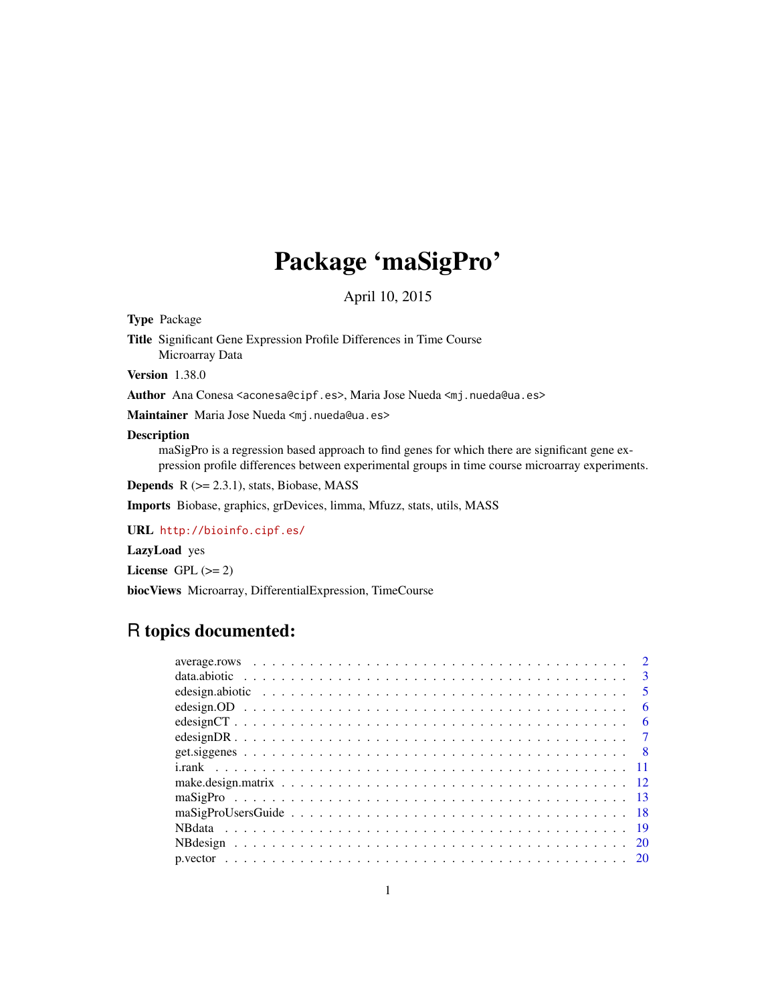# Package 'maSigPro'

April 10, 2015

<span id="page-0-0"></span>Type Package

Title Significant Gene Expression Profile Differences in Time Course Microarray Data

Version 1.38.0

Author Ana Conesa <aconesa@cipf.es>, Maria Jose Nueda <mj.nueda@ua.es>

Maintainer Maria Jose Nueda <mj.nueda@ua.es>

#### Description

maSigPro is a regression based approach to find genes for which there are significant gene expression profile differences between experimental groups in time course microarray experiments.

**Depends**  $R$  ( $>= 2.3.1$ ), stats, Biobase, MASS

Imports Biobase, graphics, grDevices, limma, Mfuzz, stats, utils, MASS

URL <http://bioinfo.cipf.es/>

LazyLoad yes

License GPL  $(>= 2)$ 

biocViews Microarray, DifferentialExpression, TimeCourse

# R topics documented:

|  | $\mathbf{3}$ |
|--|--------------|
|  | - 5          |
|  | -6           |
|  | -6           |
|  |              |
|  |              |
|  |              |
|  |              |
|  |              |
|  |              |
|  |              |
|  |              |
|  |              |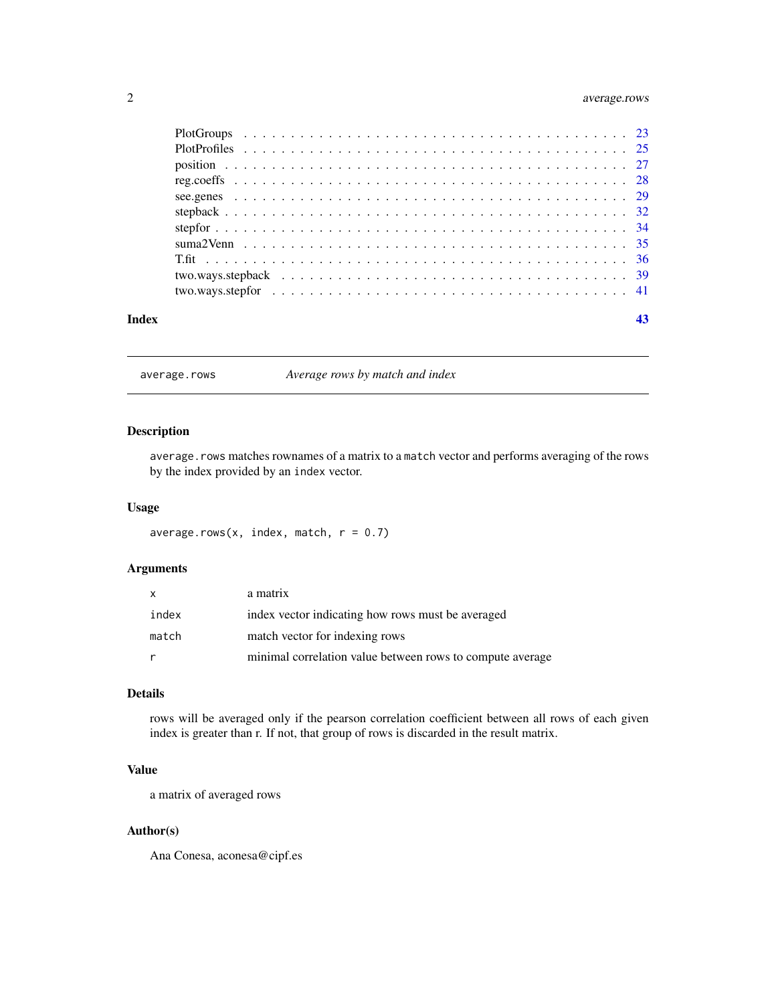# <span id="page-1-0"></span>2 average.rows

| Index |  |
|-------|--|

<span id="page-1-1"></span>average.rows *Average rows by match and index*

# Description

average.rows matches rownames of a matrix to a match vector and performs averaging of the rows by the index provided by an index vector.

#### Usage

average.rows(x, index, match,  $r = 0.7$ )

# Arguments

| X     | a matrix                                                  |
|-------|-----------------------------------------------------------|
| index | index vector indicating how rows must be averaged         |
| match | match vector for indexing rows                            |
| r     | minimal correlation value between rows to compute average |

# Details

rows will be averaged only if the pearson correlation coefficient between all rows of each given index is greater than r. If not, that group of rows is discarded in the result matrix.

# Value

a matrix of averaged rows

# Author(s)

Ana Conesa, aconesa@cipf.es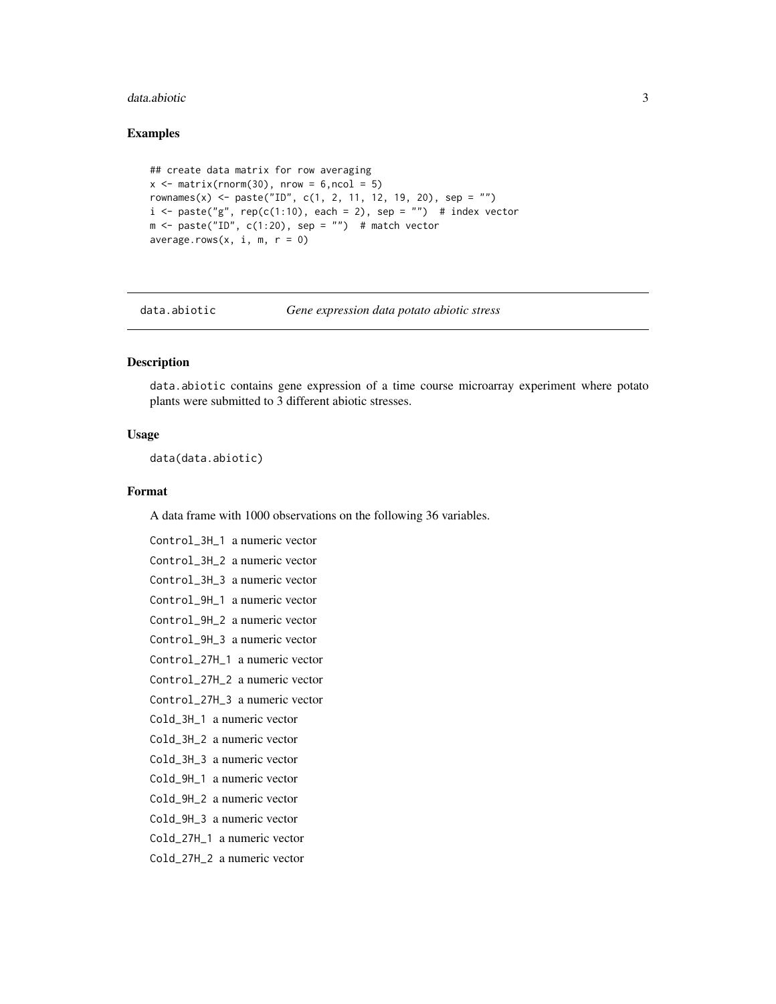#### <span id="page-2-0"></span>data.abiotic 3

#### Examples

```
## create data matrix for row averaging
x \le matrix(rnorm(30), nrow = 6,ncol = 5)
rownames(x) <- paste("ID", c(1, 2, 11, 12, 19, 20), sep = "")
i \leq paste("g", rep(c(1:10), each = 2), sep = "") # index vector
m \le - paste("ID", c(1:20), sep = "") # match vector
average rows(x, i, m, r = 0)
```
data.abiotic *Gene expression data potato abiotic stress*

# Description

data.abiotic contains gene expression of a time course microarray experiment where potato plants were submitted to 3 different abiotic stresses.

#### Usage

data(data.abiotic)

#### Format

A data frame with 1000 observations on the following 36 variables.

```
Control_3H_1 a numeric vector
Control_3H_2 a numeric vector
Control_3H_3 a numeric vector
Control_9H_1 a numeric vector
Control_9H_2 a numeric vector
Control_9H_3 a numeric vector
Control_27H_1 a numeric vector
Control_27H_2 a numeric vector
Control_27H_3 a numeric vector
Cold_3H_1 a numeric vector
Cold_3H_2 a numeric vector
Cold_3H_3 a numeric vector
Cold_9H_1 a numeric vector
Cold_9H_2 a numeric vector
Cold_9H_3 a numeric vector
Cold_27H_1 a numeric vector
Cold_27H_2 a numeric vector
```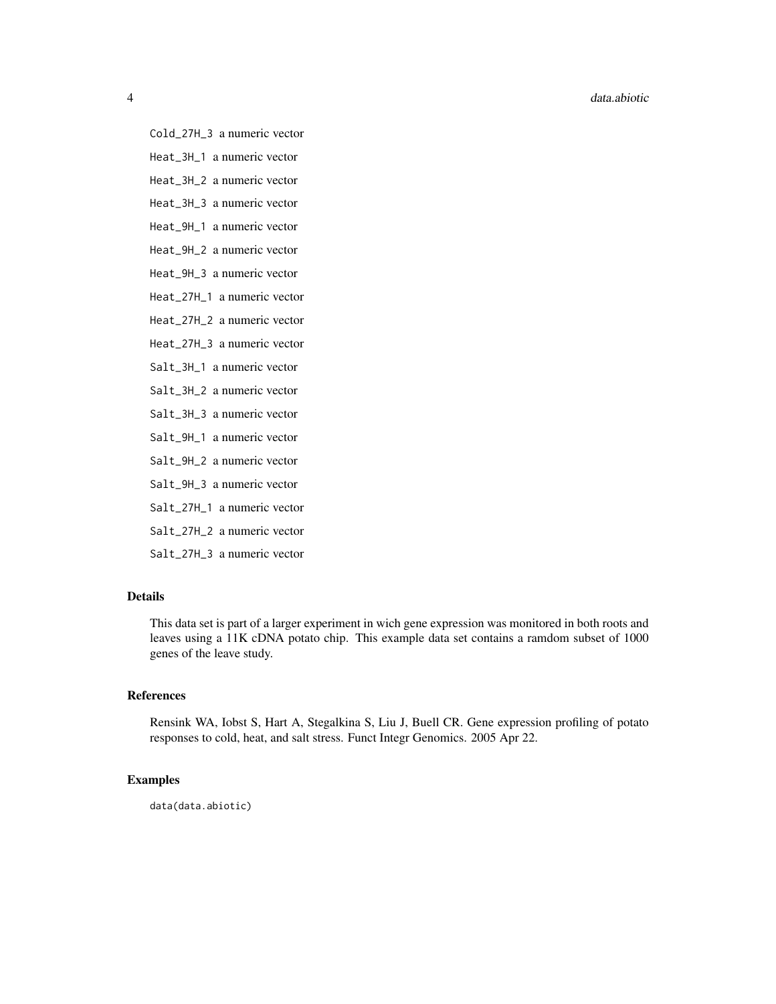#### 4 data.abiotic

Cold\_27H\_3 a numeric vector

Heat\_3H\_1 a numeric vector

Heat\_3H\_2 a numeric vector

Heat\_3H\_3 a numeric vector

Heat\_9H\_1 a numeric vector

Heat\_9H\_2 a numeric vector

Heat\_9H\_3 a numeric vector

Heat\_27H\_1 a numeric vector

Heat\_27H\_2 a numeric vector

Heat\_27H\_3 a numeric vector

Salt\_3H\_1 a numeric vector

Salt\_3H\_2 a numeric vector

Salt\_3H\_3 a numeric vector

Salt\_9H\_1 a numeric vector

Salt\_9H\_2 a numeric vector

Salt\_9H\_3 a numeric vector

Salt\_27H\_1 a numeric vector

Salt\_27H\_2 a numeric vector

Salt\_27H\_3 a numeric vector

# Details

This data set is part of a larger experiment in wich gene expression was monitored in both roots and leaves using a 11K cDNA potato chip. This example data set contains a ramdom subset of 1000 genes of the leave study.

#### References

Rensink WA, Iobst S, Hart A, Stegalkina S, Liu J, Buell CR. Gene expression profiling of potato responses to cold, heat, and salt stress. Funct Integr Genomics. 2005 Apr 22.

# Examples

data(data.abiotic)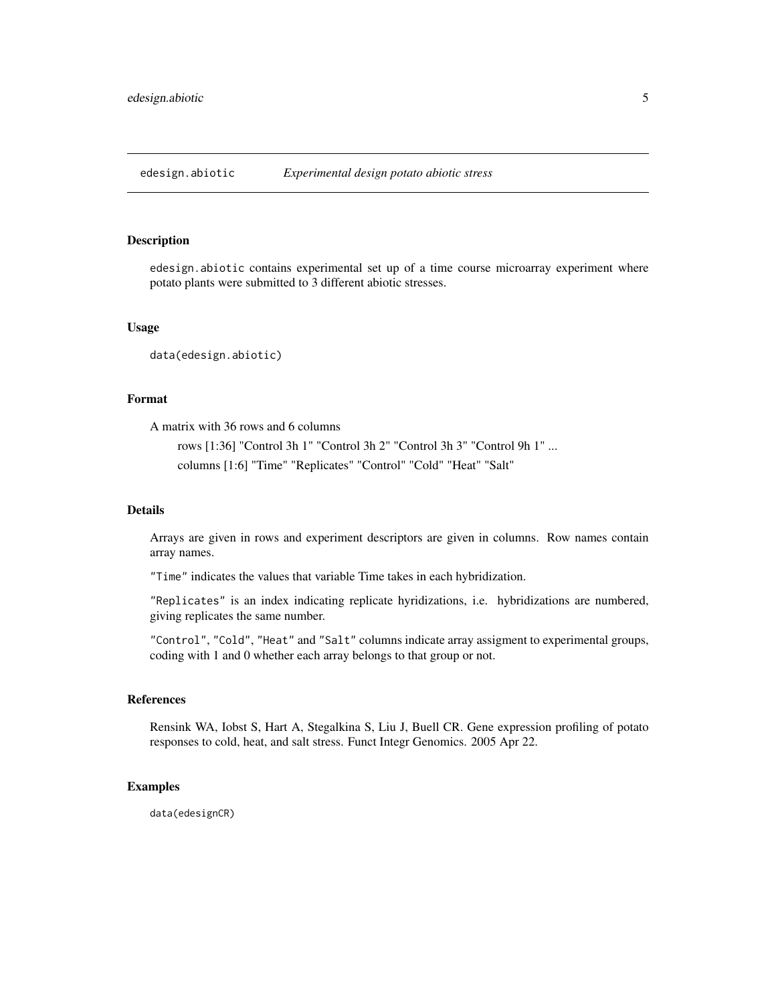<span id="page-4-0"></span>edesign.abiotic *Experimental design potato abiotic stress*

#### Description

edesign.abiotic contains experimental set up of a time course microarray experiment where potato plants were submitted to 3 different abiotic stresses.

#### Usage

data(edesign.abiotic)

# Format

A matrix with 36 rows and 6 columns

rows [1:36] "Control 3h 1" "Control 3h 2" "Control 3h 3" "Control 9h 1" ... columns [1:6] "Time" "Replicates" "Control" "Cold" "Heat" "Salt"

#### Details

Arrays are given in rows and experiment descriptors are given in columns. Row names contain array names.

"Time" indicates the values that variable Time takes in each hybridization.

"Replicates" is an index indicating replicate hyridizations, i.e. hybridizations are numbered, giving replicates the same number.

"Control", "Cold", "Heat" and "Salt" columns indicate array assigment to experimental groups, coding with 1 and 0 whether each array belongs to that group or not.

#### References

Rensink WA, Iobst S, Hart A, Stegalkina S, Liu J, Buell CR. Gene expression profiling of potato responses to cold, heat, and salt stress. Funct Integr Genomics. 2005 Apr 22.

# Examples

data(edesignCR)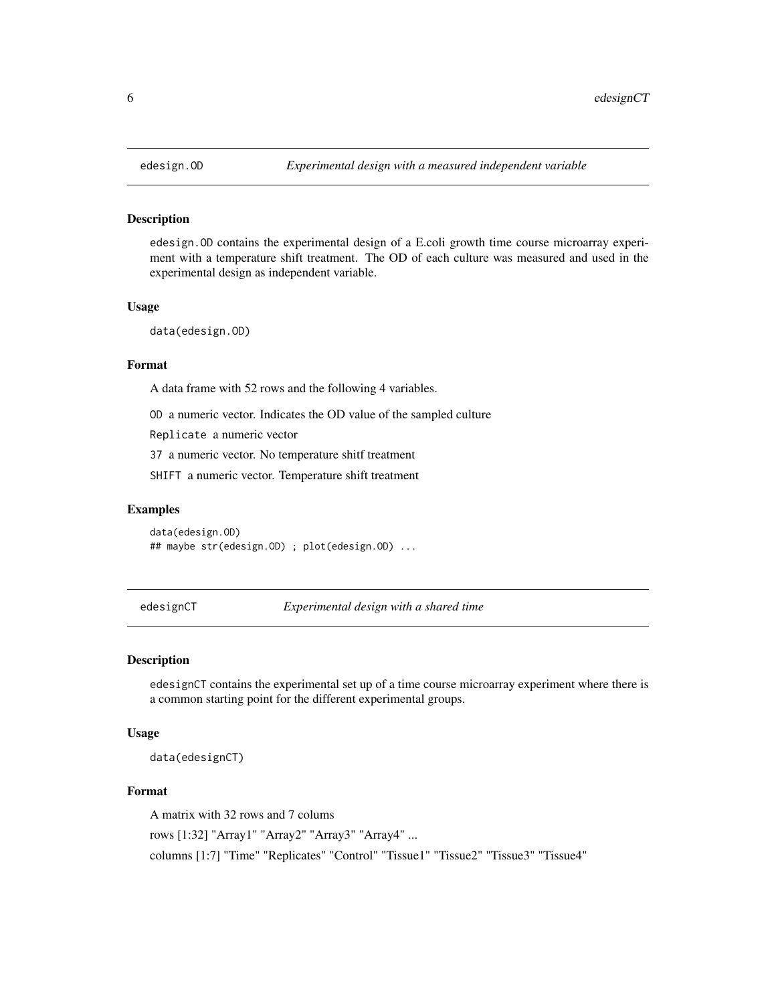#### Description

edesign.OD contains the experimental design of a E.coli growth time course microarray experiment with a temperature shift treatment. The OD of each culture was measured and used in the experimental design as independent variable.

# Usage

```
data(edesign.OD)
```
#### Format

A data frame with 52 rows and the following 4 variables.

OD a numeric vector. Indicates the OD value of the sampled culture

Replicate a numeric vector

37 a numeric vector. No temperature shitf treatment

SHIFT a numeric vector. Temperature shift treatment

# Examples

data(edesign.OD) ## maybe str(edesign.OD) ; plot(edesign.OD) ...

edesignCT *Experimental design with a shared time*

#### Description

edesignCT contains the experimental set up of a time course microarray experiment where there is a common starting point for the different experimental groups.

# Usage

data(edesignCT)

#### Format

A matrix with 32 rows and 7 colums

rows [1:32] "Array1" "Array2" "Array3" "Array4" ...

columns [1:7] "Time" "Replicates" "Control" "Tissue1" "Tissue2" "Tissue3" "Tissue4"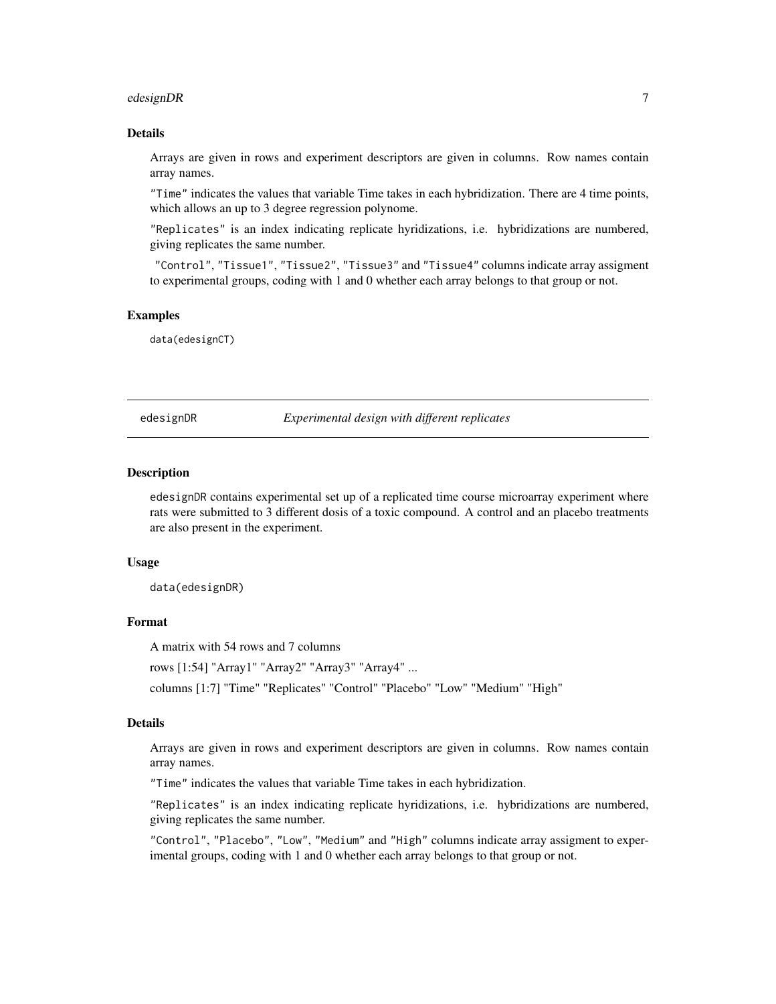#### <span id="page-6-0"></span>edesignDR 7 and 2008 and 2008 and 2008 and 2008 and 2008 and 2008 and 2008 and 2008 and 2008 and 2008 and 2008

#### Details

Arrays are given in rows and experiment descriptors are given in columns. Row names contain array names.

"Time" indicates the values that variable Time takes in each hybridization. There are 4 time points, which allows an up to 3 degree regression polynome.

"Replicates" is an index indicating replicate hyridizations, i.e. hybridizations are numbered, giving replicates the same number.

"Control", "Tissue1", "Tissue2", "Tissue3" and "Tissue4" columns indicate array assigment to experimental groups, coding with 1 and 0 whether each array belongs to that group or not.

#### Examples

data(edesignCT)

edesignDR *Experimental design with different replicates*

#### Description

edesignDR contains experimental set up of a replicated time course microarray experiment where rats were submitted to 3 different dosis of a toxic compound. A control and an placebo treatments are also present in the experiment.

#### Usage

data(edesignDR)

#### Format

A matrix with 54 rows and 7 columns

rows [1:54] "Array1" "Array2" "Array3" "Array4" ...

columns [1:7] "Time" "Replicates" "Control" "Placebo" "Low" "Medium" "High"

#### Details

Arrays are given in rows and experiment descriptors are given in columns. Row names contain array names.

"Time" indicates the values that variable Time takes in each hybridization.

"Replicates" is an index indicating replicate hyridizations, i.e. hybridizations are numbered, giving replicates the same number.

"Control", "Placebo", "Low", "Medium" and "High" columns indicate array assigment to experimental groups, coding with 1 and 0 whether each array belongs to that group or not.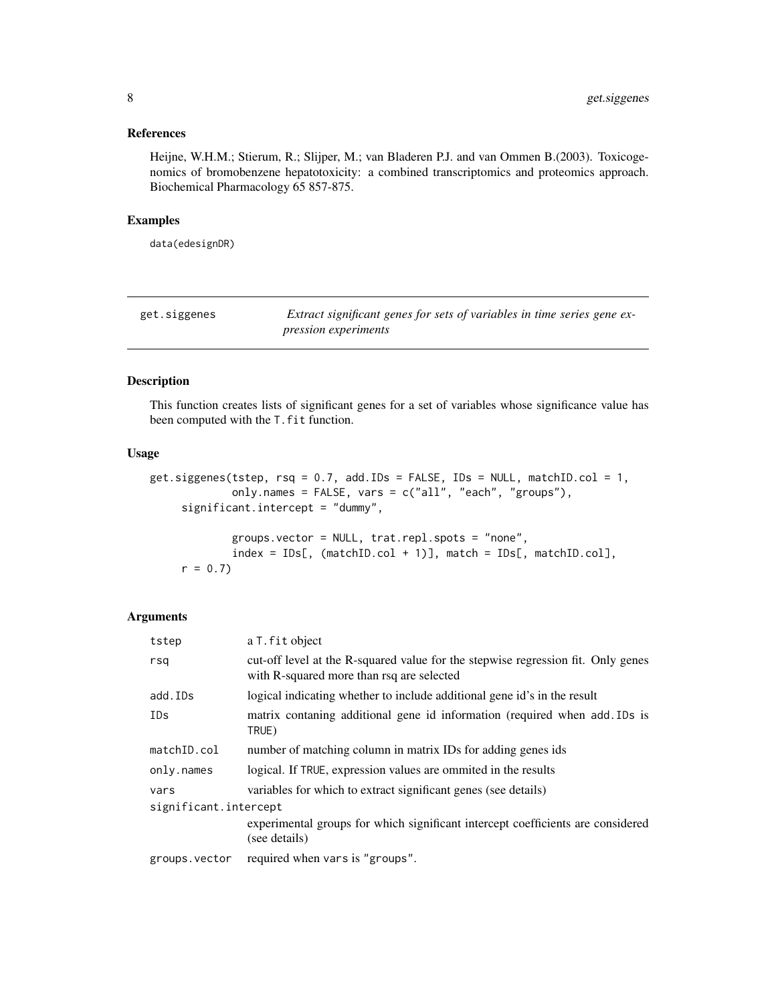# <span id="page-7-0"></span>References

Heijne, W.H.M.; Stierum, R.; Slijper, M.; van Bladeren P.J. and van Ommen B.(2003). Toxicogenomics of bromobenzene hepatotoxicity: a combined transcriptomics and proteomics approach. Biochemical Pharmacology 65 857-875.

#### Examples

data(edesignDR)

<span id="page-7-1"></span>

| get.siggenes | Extract significant genes for sets of variables in time series gene ex- |
|--------------|-------------------------------------------------------------------------|
|              | <i>pression experiments</i>                                             |

#### Description

This function creates lists of significant genes for a set of variables whose significance value has been computed with the T.fit function.

# Usage

```
get.siggenes(tstep, rsq = 0.7, add.IDs = FALSE, IDs = NULL, matchID.col = 1,
             only.names = FALSE, vars = c("all", "each", "groups"),
     significant.intercept = "dummy",
             groups.vector = NULL, trat.repl.spots = "none",
```

```
index = IDs[, (matchID,col + 1)], match = IDs[, matchID,col],r = 0.7
```
# Arguments

| tstep                 | a T. fit object                                                                                                               |  |
|-----------------------|-------------------------------------------------------------------------------------------------------------------------------|--|
| rsa                   | cut-off level at the R-squared value for the stepwise regression fit. Only genes<br>with R-squared more than rsq are selected |  |
| add.IDs               | logical indicating whether to include additional gene id's in the result                                                      |  |
| IDs                   | matrix contaning additional gene id information (required when add. IDs is<br>TRUE)                                           |  |
| matchID.col           | number of matching column in matrix IDs for adding genes ids                                                                  |  |
| only.names            | logical. If TRUE, expression values are ommited in the results                                                                |  |
| vars                  | variables for which to extract significant genes (see details)                                                                |  |
| significant.intercept |                                                                                                                               |  |
|                       | experimental groups for which significant intercept coefficients are considered<br>(see details)                              |  |
| groups.vector         | required when vars is "groups".                                                                                               |  |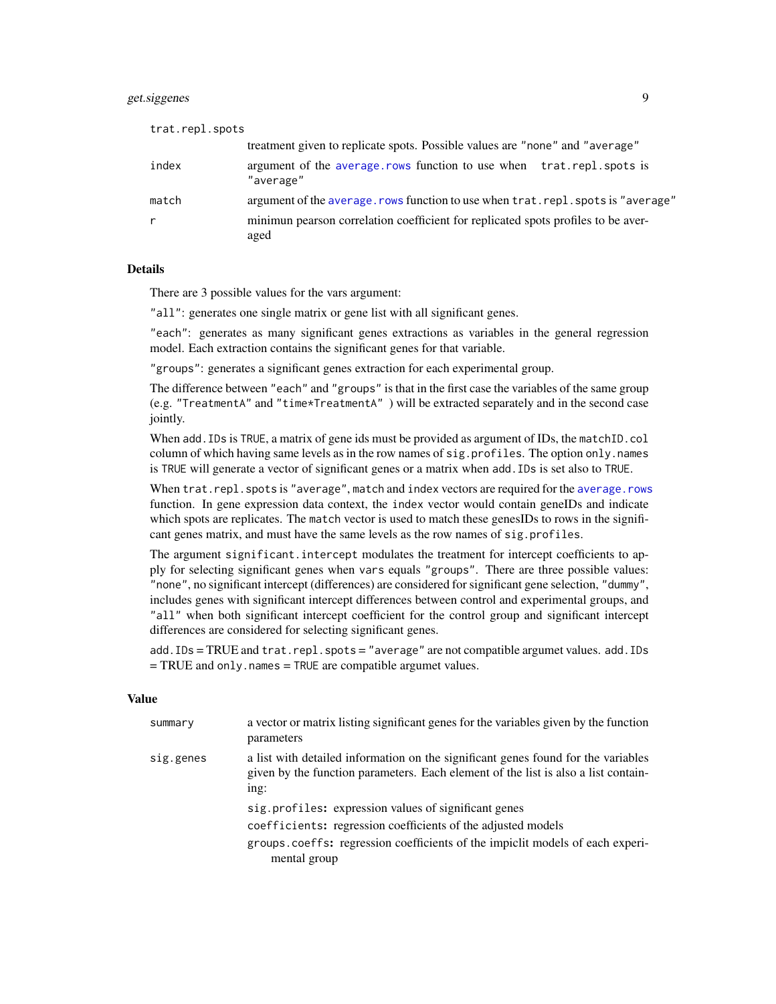# get.siggenes 9

| trat.repl.spots |                                                                                           |
|-----------------|-------------------------------------------------------------------------------------------|
|                 | treatment given to replicate spots. Possible values are "none" and "average"              |
| index           | argument of the average rows function to use when trat repl spots is<br>"average"         |
| match           | argument of the average, rows function to use when trat, repl, spots is "average"         |
| r               | minimum pearson correlation coefficient for replicated spots profiles to be aver-<br>aged |

#### **Details**

There are 3 possible values for the vars argument:

"all": generates one single matrix or gene list with all significant genes.

"each": generates as many significant genes extractions as variables in the general regression model. Each extraction contains the significant genes for that variable.

"groups": generates a significant genes extraction for each experimental group.

The difference between "each" and "groups" is that in the first case the variables of the same group (e.g. "TreatmentA" and "time\*TreatmentA" ) will be extracted separately and in the second case jointly.

When add. IDs is TRUE, a matrix of gene ids must be provided as argument of IDs, the matchID.col column of which having same levels as in the row names of sig.profiles. The option only.names is TRUE will generate a vector of significant genes or a matrix when add.IDs is set also to TRUE.

When trat.repl.spots is "average", match and index vectors are required for the [average.rows](#page-1-1) function. In gene expression data context, the index vector would contain geneIDs and indicate which spots are replicates. The match vector is used to match these genesIDs to rows in the significant genes matrix, and must have the same levels as the row names of sig.profiles.

The argument significant.intercept modulates the treatment for intercept coefficients to apply for selecting significant genes when vars equals "groups". There are three possible values: "none", no significant intercept (differences) are considered for significant gene selection, "dummy", includes genes with significant intercept differences between control and experimental groups, and "all" when both significant intercept coefficient for the control group and significant intercept differences are considered for selecting significant genes.

add. IDs = TRUE and trat.repl.spots = "average" are not compatible argumet values. add. IDs  $=$  TRUE and only.names  $=$  TRUE are compatible argumet values.

#### Value

| summary   | a vector or matrix listing significant genes for the variables given by the function<br>parameters                                                                              |
|-----------|---------------------------------------------------------------------------------------------------------------------------------------------------------------------------------|
| sig.genes | a list with detailed information on the significant genes found for the variables<br>given by the function parameters. Each element of the list is also a list contain-<br>ing: |
|           | sig.profiles: expression values of significant genes                                                                                                                            |
|           | coefficients: regression coefficients of the adjusted models                                                                                                                    |
|           | groups.coeffs: regression coefficients of the impicit models of each experi-<br>mental group                                                                                    |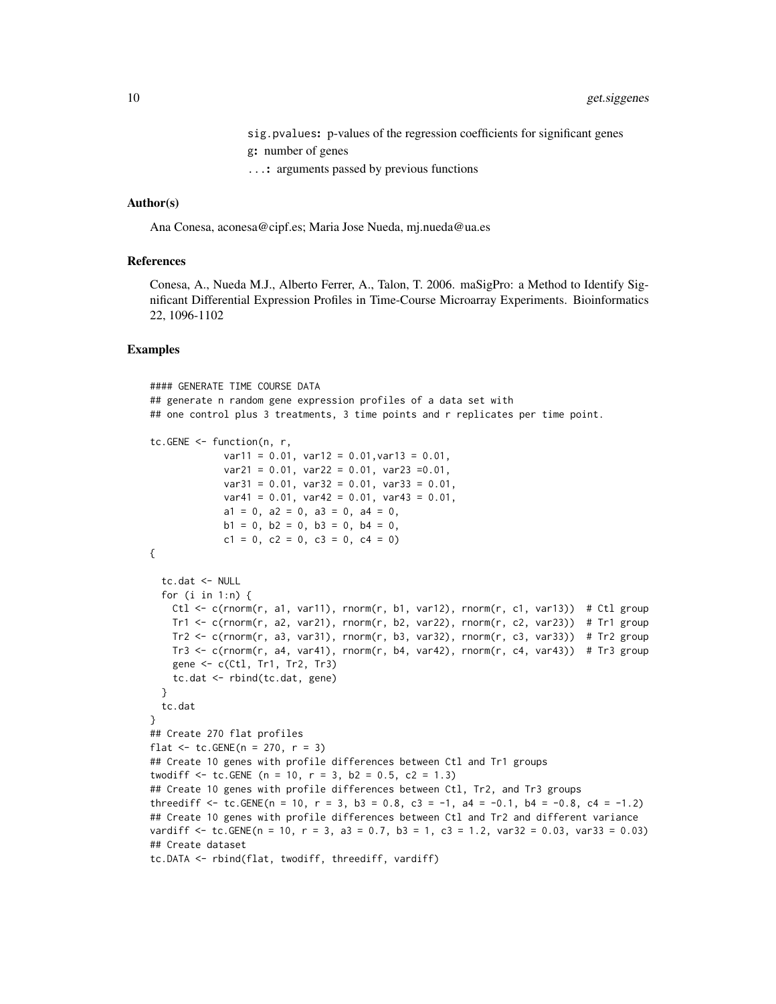- sig.pvalues: p-values of the regression coefficients for significant genes g: number of genes
- ...: arguments passed by previous functions

#### Author(s)

Ana Conesa, aconesa@cipf.es; Maria Jose Nueda, mj.nueda@ua.es

#### References

Conesa, A., Nueda M.J., Alberto Ferrer, A., Talon, T. 2006. maSigPro: a Method to Identify Significant Differential Expression Profiles in Time-Course Microarray Experiments. Bioinformatics 22, 1096-1102

```
#### GENERATE TIME COURSE DATA
## generate n random gene expression profiles of a data set with
## one control plus 3 treatments, 3 time points and r replicates per time point.
tc.GENE <- function(n, r,
             var11 = 0.01, var12 = 0.01, var13 = 0.01,
             var21 = 0.01, var22 = 0.01, var23 = 0.01,
             var31 = 0.01, var32 = 0.01, var33 = 0.01,
             var41 = 0.01, var42 = 0.01, var43 = 0.01,
             a1 = 0, a2 = 0, a3 = 0, a4 = 0,
             b1 = 0, b2 = 0, b3 = 0, b4 = 0,
             c1 = 0, c2 = 0, c3 = 0, c4 = 0)
{
 tc.dat <- NULL
 for (i in 1:n) {
   Ctl \leq c(rnorm(r, a1, var11), rnorm(r, b1, var12), rnorm(r, c1, var13)) # Ctl group
   Tr1 <- c(rnorm(r, a2, var21), rnorm(r, b2, var22), rnorm(r, c2, var23)) # Tr1 group
   Tr2 \leq c(rnorm(r, a3, var31), rnorm(r, b3, var32), rnorm(r, c3, var33)) # Tr2 group
   Tr3 \leq c(rnorm(r, a4, var41), rnorm(r, b4, var42), rnorm(r, c4, var43)) # Tr3 group
   gene \leq c(Ctl, Tr1, Tr2, Tr3)
   tc.dat <- rbind(tc.dat, gene)
 }
 tc.dat
}
## Create 270 flat profiles
flat \le tc. GENE(n = 270, r = 3)
## Create 10 genes with profile differences between Ctl and Tr1 groups
twodiff \le tc.GENE (n = 10, r = 3, b2 = 0.5, c2 = 1.3)
## Create 10 genes with profile differences between Ctl, Tr2, and Tr3 groups
threediff \le tc.GENE(n = 10, r = 3, b3 = 0.8, c3 = -1, a4 = -0.1, b4 = -0.8, c4 = -1.2)
## Create 10 genes with profile differences between Ctl and Tr2 and different variance
vardiff \le tc.GENE(n = 10, r = 3, a3 = 0.7, b3 = 1, c3 = 1.2, var32 = 0.03, var33 = 0.03)
## Create dataset
tc.DATA <- rbind(flat, twodiff, threediff, vardiff)
```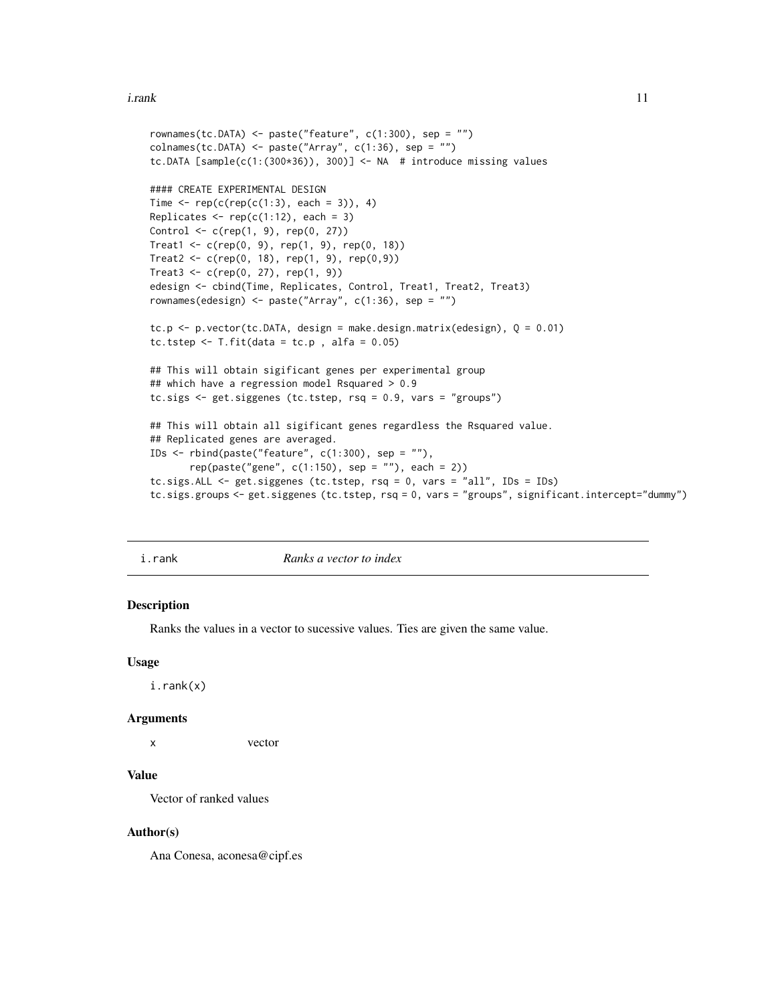#### <span id="page-10-0"></span>i.rank 11

```
rownames(tc.DATA) <- paste("feature", c(1:300), sep = "")
collnames(tc.DATA) \leq plate('Array", c(1:36), sep = "")tc.DATA [sample(c(1:(300*36)), 300)] <- NA # introduce missing values
#### CREATE EXPERIMENTAL DESIGN
Time \leq rep(c(rep(c(1:3), each = 3)), 4)
Replicates \leq rep(c(1:12), each = 3)
Control <- c(rep(1, 9), rep(0, 27))
Treat1 < -c(rep(0, 9), rep(1, 9), rep(0, 18))Treat2 < -c(rep(0, 18), rep(1, 9), rep(0,9))Treat3 < -c(rep(0, 27), rep(1, 9))edesign <- cbind(Time, Replicates, Control, Treat1, Treat2, Treat3)
rownames(edesign) <- paste("Array", c(1:36), sep = "")
tc.p \le p.vector(tc.DATA, design = make.design.matrix(edesign), Q = 0.01)
tc.tstep \le T.fit(data = tc.p, alfa = 0.05)
## This will obtain sigificant genes per experimental group
## which have a regression model Rsquared > 0.9
tc.sigs <- get.siggenes (tc.tstep, rsq = 0.9, vars = "groups")
## This will obtain all sigificant genes regardless the Rsquared value.
## Replicated genes are averaged.
IDs <- rbind(paste("feature", c(1:300), sep = ""),
      rep(paste("gene", c(1:150), sep = ""), each = 2))
tc.sigs.ALL <- get.siggenes (tc.tstep, rsq = 0, vars = "all", IDs = IDs)
tc.sigs.groups <- get.siggenes (tc.tstep, rsq = 0, vars = "groups", significant.intercept="dummy")
```
i.rank *Ranks a vector to index*

#### **Description**

Ranks the values in a vector to sucessive values. Ties are given the same value.

#### Usage

i.rank(x)

#### Arguments

x vector

#### Value

Vector of ranked values

#### Author(s)

Ana Conesa, aconesa@cipf.es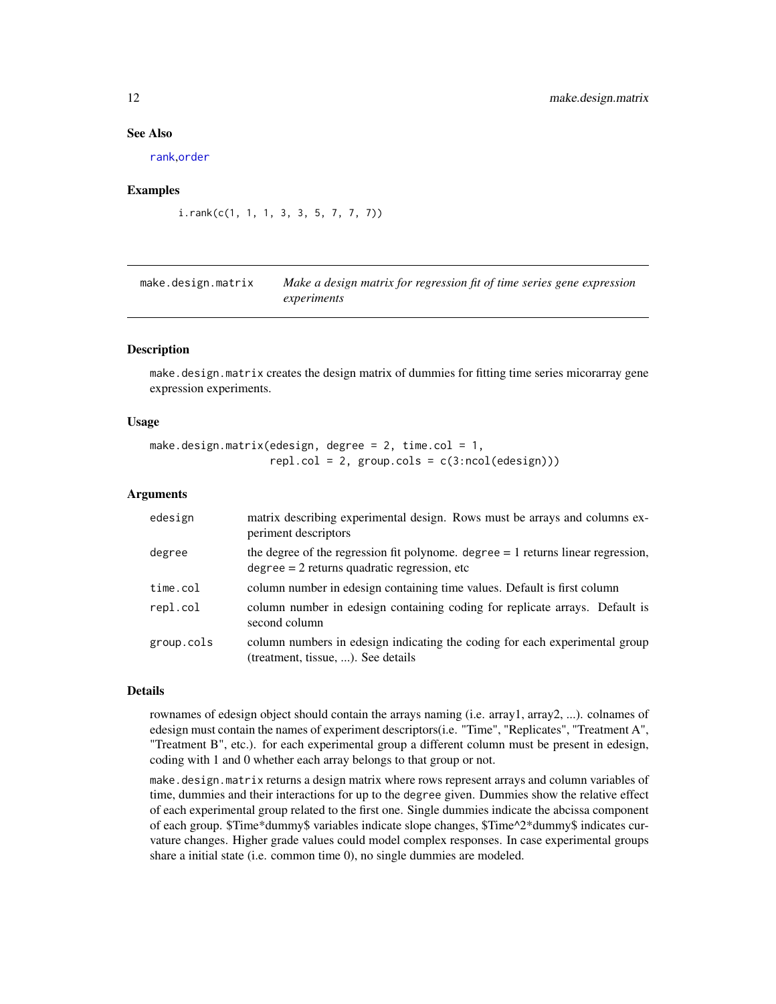#### See Also

[rank](#page-0-0),[order](#page-0-0)

#### Examples

```
i.rank(c(1, 1, 1, 3, 3, 5, 7, 7, 7))
```
<span id="page-11-1"></span>make.design.matrix *Make a design matrix for regression fit of time series gene expression experiments*

#### Description

make.design.matrix creates the design matrix of dummies for fitting time series micorarray gene expression experiments.

#### Usage

make.design.matrix(edesign, degree =  $2$ , time.col =  $1$ ,  $rep1,col = 2, group.class = c(3:ncol(edesign)))$ 

#### Arguments

| edesign    | matrix describing experimental design. Rows must be arrays and columns ex-<br>periment descriptors                                   |
|------------|--------------------------------------------------------------------------------------------------------------------------------------|
| degree     | the degree of the regression fit polynome. degree $= 1$ returns linear regression,<br>$degree = 2$ returns quadratic regression, etc |
| time.col   | column number in edesign containing time values. Default is first column                                                             |
| repl.col   | column number in edesign containing coding for replicate arrays. Default is<br>second column                                         |
| group.cols | column numbers in edesign indicating the coding for each experimental group<br>(treatment, tissue, ). See details                    |

### Details

rownames of edesign object should contain the arrays naming (i.e. array1, array2, ...). colnames of edesign must contain the names of experiment descriptors(i.e. "Time", "Replicates", "Treatment A", "Treatment B", etc.). for each experimental group a different column must be present in edesign, coding with 1 and 0 whether each array belongs to that group or not.

make.design.matrix returns a design matrix where rows represent arrays and column variables of time, dummies and their interactions for up to the degree given. Dummies show the relative effect of each experimental group related to the first one. Single dummies indicate the abcissa component of each group. \$Time\*dummy\$ variables indicate slope changes, \$Time^2\*dummy\$ indicates curvature changes. Higher grade values could model complex responses. In case experimental groups share a initial state (i.e. common time 0), no single dummies are modeled.

<span id="page-11-0"></span>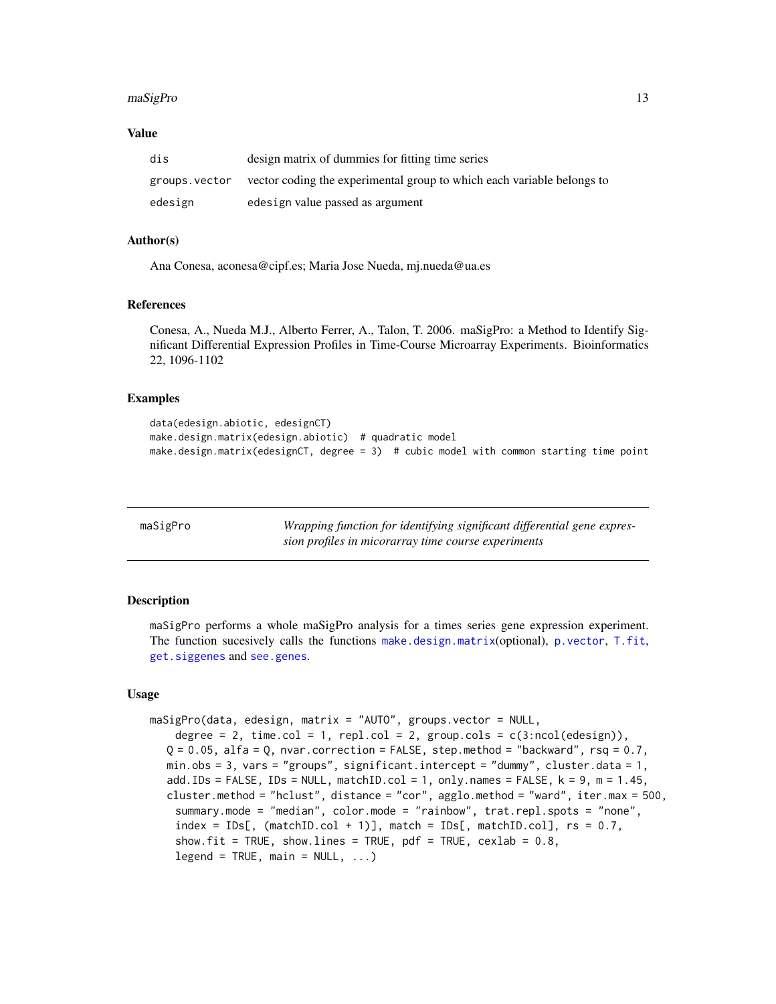#### <span id="page-12-0"></span>maSigPro the contract of the contract of the contract of the contract of the contract of the contract of the contract of the contract of the contract of the contract of the contract of the contract of the contract of the c

#### Value

| dis           | design matrix of dummies for fitting time series                       |
|---------------|------------------------------------------------------------------------|
| groups.vector | vector coding the experimental group to which each variable belongs to |
| edesign       | edesign value passed as argument                                       |

#### Author(s)

Ana Conesa, aconesa@cipf.es; Maria Jose Nueda, mj.nueda@ua.es

#### References

Conesa, A., Nueda M.J., Alberto Ferrer, A., Talon, T. 2006. maSigPro: a Method to Identify Significant Differential Expression Profiles in Time-Course Microarray Experiments. Bioinformatics 22, 1096-1102

#### Examples

```
data(edesign.abiotic, edesignCT)
make.design.matrix(edesign.abiotic) # quadratic model
make.design.matrix(edesignCT, degree = 3) # cubic model with common starting time point
```

| maSigPro | Wrapping function for identifying significant differential gene expres- |
|----------|-------------------------------------------------------------------------|
|          | sion profiles in micorarray time course experiments                     |

# **Description**

maSigPro performs a whole maSigPro analysis for a times series gene expression experiment. The function sucesively calls the functions [make.design.matrix](#page-11-1)(optional), [p.vector](#page-19-1), [T.fit](#page-35-1), [get.siggenes](#page-7-1) and [see.genes](#page-28-1).

#### Usage

```
maSigPro(data, edesign, matrix = "AUTO", groups.vector = NULL,
    degree = 2, time.col = 1, repl.col = 2, group.cols = c(3:ncol(edesign)),Q = 0.05, alfa = Q, nvar.correction = FALSE, step.method = "backward", rsq = 0.7,
  min.obs = 3, vars = "groups", significant.intercept = "dummy", cluster.data = 1,
  add.IDs = FALSE, IDs = NULL, matchID.col = 1, only.names = FALSE, k = 9, m = 1.45,
  cluster.method = "hclust", distance = "cor", agglo.method = "ward", iter.max = 500,
    summary.mode = "median", color.mode = "rainbow", trat.repl.spots = "none",
    index = IDs[, (\text{matchID}.\text{col} + 1)], match = IDs[, matchID.col], rs = 0.7,
    show.fit = TRUE, show.lines = TRUE, pdf = TRUE, cexlab = 0.8,
    legend = TRUE, main = NULL, ...)
```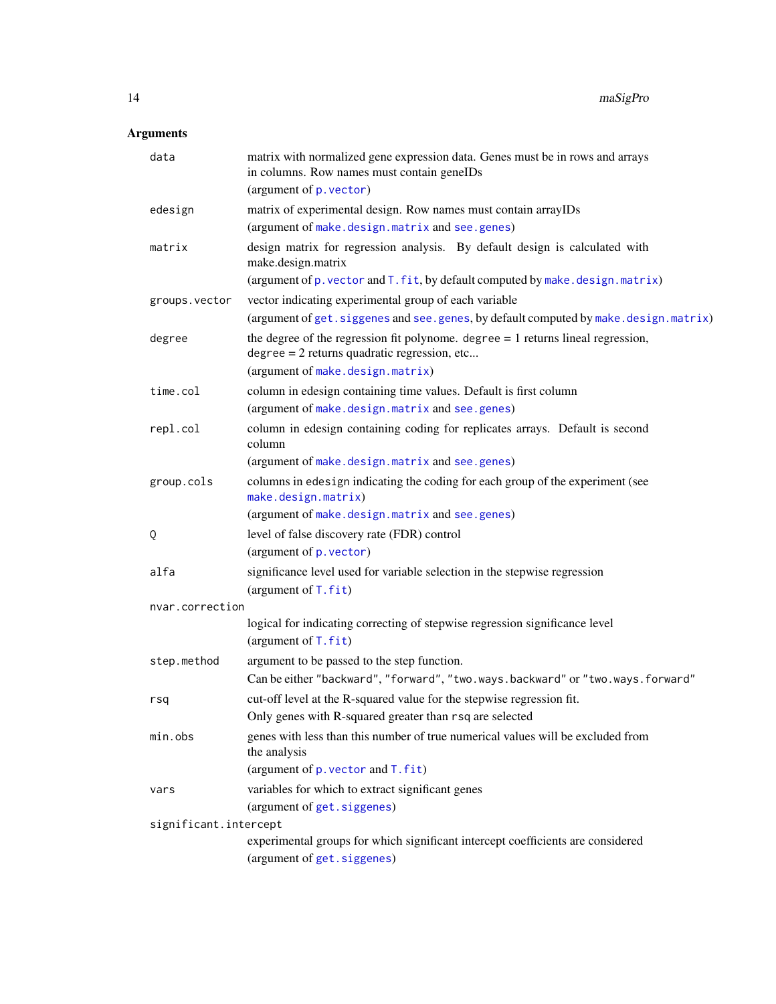# Arguments

| data                  | matrix with normalized gene expression data. Genes must be in rows and arrays<br>in columns. Row names must contain geneIDs          |
|-----------------------|--------------------------------------------------------------------------------------------------------------------------------------|
|                       | (argument of p. vector)                                                                                                              |
| edesign               | matrix of experimental design. Row names must contain arrayIDs                                                                       |
|                       | (argument of make.design.matrix and see.genes)                                                                                       |
| matrix                | design matrix for regression analysis. By default design is calculated with<br>make.design.matrix                                    |
|                       | (argument of p. vector and T. fit, by default computed by make. design. matrix)                                                      |
| groups.vector         | vector indicating experimental group of each variable                                                                                |
|                       | (argument of get. siggenes and see. genes, by default computed by make. design. matrix)                                              |
| degree                | the degree of the regression fit polynome. degree $= 1$ returns lineal regression,<br>$degree = 2$ returns quadratic regression, etc |
|                       | (argument of make.design.matrix)                                                                                                     |
| time.col              | column in edesign containing time values. Default is first column                                                                    |
|                       | (argument of make.design.matrix and see.genes)                                                                                       |
| repl.col              | column in edesign containing coding for replicates arrays. Default is second<br>column                                               |
|                       | (argument of make.design.matrix and see.genes)                                                                                       |
| group.cols            | columns in edesign indicating the coding for each group of the experiment (see<br>make.design.matrix)                                |
|                       | (argument of make.design.matrix and see.genes)                                                                                       |
| Q                     | level of false discovery rate (FDR) control                                                                                          |
|                       | (argument of p. vector)                                                                                                              |
| alfa                  | significance level used for variable selection in the stepwise regression<br>(argument of $T$ . fit)                                 |
| nvar.correction       |                                                                                                                                      |
|                       | logical for indicating correcting of stepwise regression significance level<br>(argument of $T$ . fit)                               |
| step.method           | argument to be passed to the step function.                                                                                          |
|                       | Can be either "backward", "forward", "two.ways.backward" or "two.ways.forward"                                                       |
| rsq                   | cut-off level at the R-squared value for the stepwise regression fit.                                                                |
|                       | Only genes with R-squared greater than rsq are selected                                                                              |
| min.obs               | genes with less than this number of true numerical values will be excluded from<br>the analysis                                      |
|                       | (argument of $p$ . vector and $T$ . fit)                                                                                             |
| vars                  | variables for which to extract significant genes                                                                                     |
|                       | (argument of get. siggenes)                                                                                                          |
| significant.intercept |                                                                                                                                      |
|                       | experimental groups for which significant intercept coefficients are considered<br>(argument of get. siggenes)                       |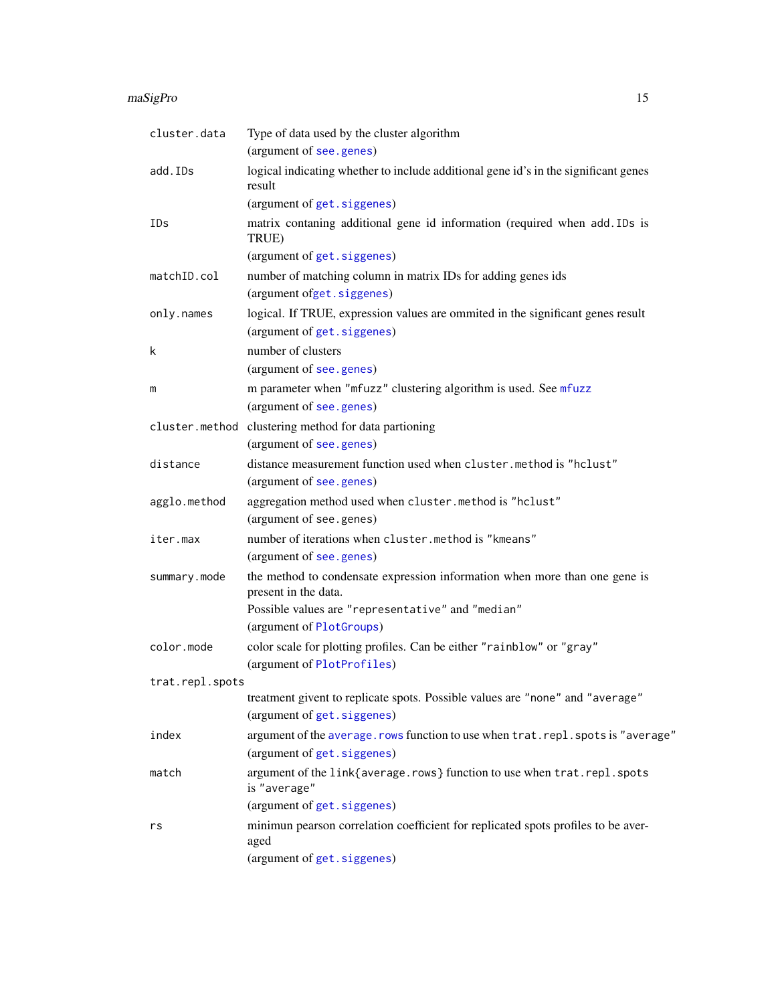#### maSigPro 15

| cluster.data    | Type of data used by the cluster algorithm<br>(argument of see.genes)                                            |
|-----------------|------------------------------------------------------------------------------------------------------------------|
| add.IDs         | logical indicating whether to include additional gene id's in the significant genes<br>result                    |
|                 | (argument of get. siggenes)                                                                                      |
| IDs             | matrix contaning additional gene id information (required when add. IDs is<br>TRUE)                              |
|                 | (argument of get. siggenes)                                                                                      |
| matchID.col     | number of matching column in matrix IDs for adding genes ids                                                     |
|                 | (argument ofget.siggenes)                                                                                        |
| only.names      | logical. If TRUE, expression values are ommited in the significant genes result<br>(argument of get. siggenes)   |
| k               | number of clusters                                                                                               |
|                 | (argument of see.genes)                                                                                          |
| m               | m parameter when "mfuzz" clustering algorithm is used. See mfuzz                                                 |
|                 | (argument of see.genes)                                                                                          |
| cluster.method  | clustering method for data partioning                                                                            |
|                 | (argument of see.genes)                                                                                          |
| distance        | distance measurement function used when cluster.method is "hclust"                                               |
|                 | (argument of see.genes)                                                                                          |
| agglo.method    | aggregation method used when cluster.method is "hclust"                                                          |
|                 | (argument of see.genes)                                                                                          |
| iter.max        | number of iterations when cluster.method is "kmeans"                                                             |
|                 | (argument of see.genes)                                                                                          |
| summary.mode    | the method to condensate expression information when more than one gene is<br>present in the data.               |
|                 | Possible values are "representative" and "median"<br>(argument of PlotGroups)                                    |
| color.mode      | color scale for plotting profiles. Can be either "rainblow" or "gray"<br>(argument of PlotProfiles)              |
| trat.repl.spots |                                                                                                                  |
|                 | treatment givent to replicate spots. Possible values are "none" and "average'<br>(argument of get. siggenes)     |
| index           | argument of the average. rows function to use when trat. repl. spots is "average"<br>(argument of get. siggenes) |
| match           | argument of the link{average.rows} function to use when trat.repl.spots<br>is "average"                          |
|                 | (argument of get. siggenes)                                                                                      |
| rs              | minimun pearson correlation coefficient for replicated spots profiles to be aver-<br>aged                        |
|                 | (argument of get. siggenes)                                                                                      |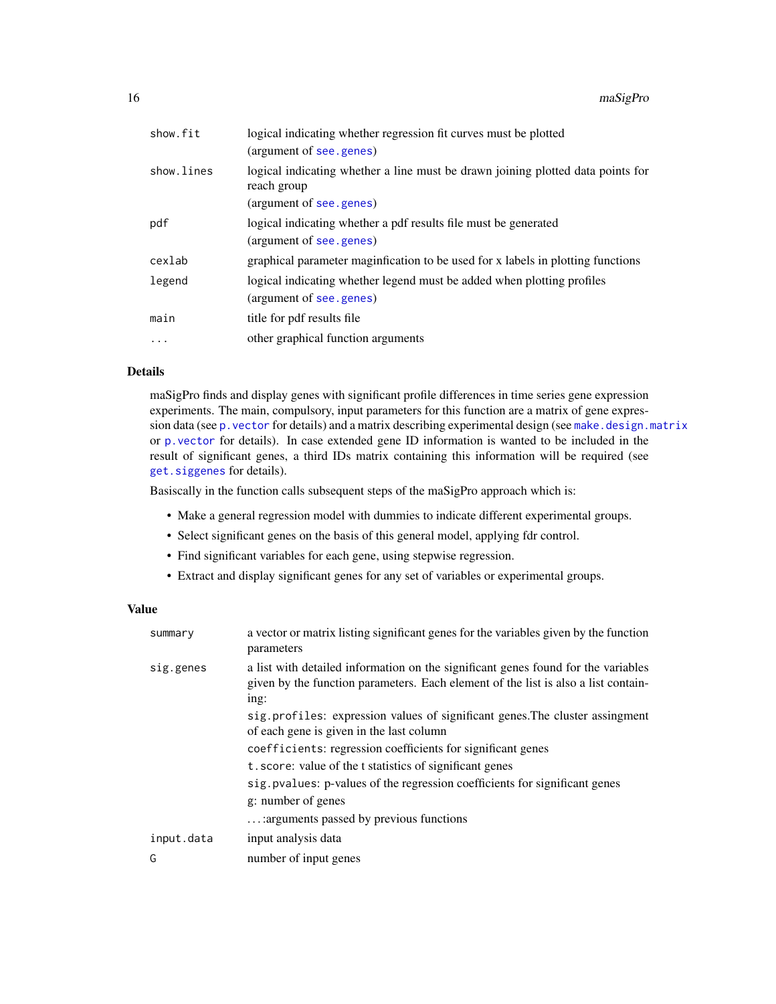| show.fit   | logical indicating whether regression fit curves must be plotted                               |
|------------|------------------------------------------------------------------------------------------------|
|            | (argument of see.genes)                                                                        |
| show.lines | logical indicating whether a line must be drawn joining plotted data points for<br>reach group |
|            | (argument of see.genes)                                                                        |
| pdf        | logical indicating whether a pdf results file must be generated                                |
|            | (argument of see.genes)                                                                        |
| cexlab     | graphical parameter maginfication to be used for x labels in plotting functions                |
| legend     | logical indicating whether legend must be added when plotting profiles                         |
|            | (argument of see.genes)                                                                        |
| main       | title for pdf results file                                                                     |
| $\ddots$   | other graphical function arguments                                                             |
|            |                                                                                                |

# Details

maSigPro finds and display genes with significant profile differences in time series gene expression experiments. The main, compulsory, input parameters for this function are a matrix of gene expression data (see p. vector for details) and a matrix describing experimental design (see [make.design.matrix](#page-11-1) or [p.vector](#page-19-1) for details). In case extended gene ID information is wanted to be included in the result of significant genes, a third IDs matrix containing this information will be required (see [get.siggenes](#page-7-1) for details).

Basiscally in the function calls subsequent steps of the maSigPro approach which is:

- Make a general regression model with dummies to indicate different experimental groups.
- Select significant genes on the basis of this general model, applying fdr control.
- Find significant variables for each gene, using stepwise regression.
- Extract and display significant genes for any set of variables or experimental groups.

#### Value

| summary    | a vector or matrix listing significant genes for the variables given by the function<br>parameters                                                                              |
|------------|---------------------------------------------------------------------------------------------------------------------------------------------------------------------------------|
| sig.genes  | a list with detailed information on the significant genes found for the variables<br>given by the function parameters. Each element of the list is also a list contain-<br>ing: |
|            | sig. profiles: expression values of significant genes. The cluster assingment<br>of each gene is given in the last column                                                       |
|            | coefficients: regression coefficients for significant genes                                                                                                                     |
|            | t. score: value of the t statistics of significant genes                                                                                                                        |
|            | sig. pvalues: p-values of the regression coefficients for significant genes                                                                                                     |
|            | g: number of genes                                                                                                                                                              |
|            | : arguments passed by previous functions                                                                                                                                        |
| input.data | input analysis data                                                                                                                                                             |
| G          | number of input genes                                                                                                                                                           |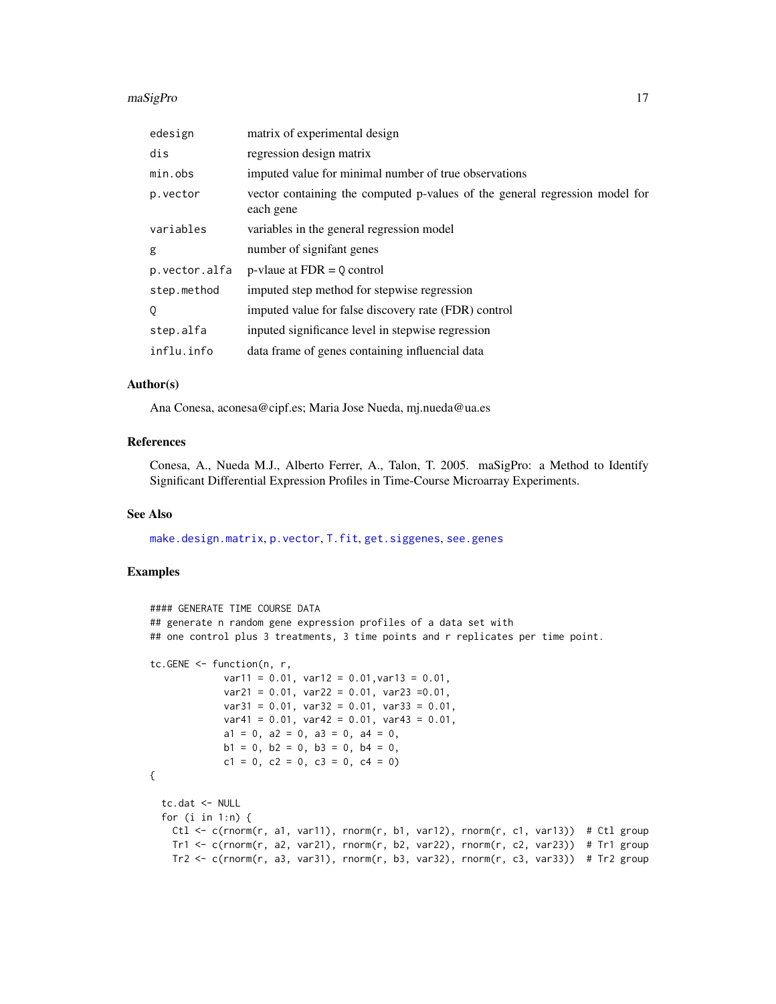#### maSigPro 17

| edesign       | matrix of experimental design                                                            |
|---------------|------------------------------------------------------------------------------------------|
| dis           | regression design matrix                                                                 |
| min.obs       | imputed value for minimal number of true observations                                    |
| p.vector      | vector containing the computed p-values of the general regression model for<br>each gene |
| variables     | variables in the general regression model                                                |
| g             | number of signifant genes                                                                |
| p.vector.alfa | $p$ -vlaue at $FDR = 0$ control                                                          |
| step.method   | imputed step method for stepwise regression                                              |
| Q             | imputed value for false discovery rate (FDR) control                                     |
| step.alfa     | inputed significance level in stepwise regression                                        |
| influ.info    | data frame of genes containing influencial data                                          |

#### Author(s)

Ana Conesa, aconesa@cipf.es; Maria Jose Nueda, mj.nueda@ua.es

#### References

Conesa, A., Nueda M.J., Alberto Ferrer, A., Talon, T. 2005. maSigPro: a Method to Identify Significant Differential Expression Profiles in Time-Course Microarray Experiments.

#### See Also

[make.design.matrix](#page-11-1), [p.vector](#page-19-1), [T.fit](#page-35-1), [get.siggenes](#page-7-1), [see.genes](#page-28-1)

```
#### GENERATE TIME COURSE DATA
## generate n random gene expression profiles of a data set with
## one control plus 3 treatments, 3 time points and r replicates per time point.
tc.GENE <- function(n, r,
            var11 = 0.01, var12 = 0.01, var13 = 0.01,
            var21 = 0.01, var22 = 0.01, var23 = 0.01,
            var31 = 0.01, var32 = 0.01, var33 = 0.01,
            var41 = 0.01, var42 = 0.01, var43 = 0.01,
             a1 = 0, a2 = 0, a3 = 0, a4 = 0,
             b1 = 0, b2 = 0, b3 = 0, b4 = 0,
             c1 = 0, c2 = 0, c3 = 0, c4 = 0)
{
 tc.dat <- NULL
 for (i in 1:n) {
   Ctl <- c(rnorm(r, a1, var11), rnorm(r, b1, var12), rnorm(r, c1, var13)) # Ctl group
   Tr1 <- c(rnorm(r, a2, var21), rnorm(r, b2, var22), rnorm(r, c2, var23)) # Tr1 group
   Tr2 \leq c(rnorm(r, a3, var31), rnorm(r, b3, var32), rnorm(r, c3, var33)) # Tr2 group
```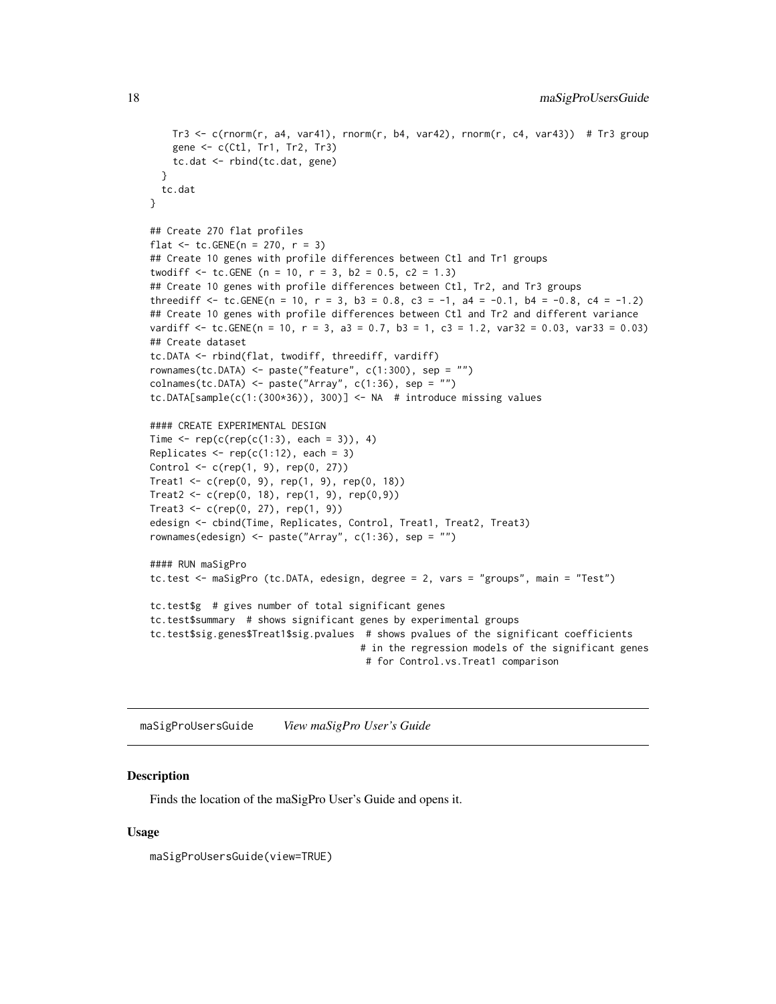```
Tr3 \leq c(rnorm(r, a4, var41), rnorm(r, b4, var42), rnorm(r, c4, var43)) # Tr3 group
   gene <- c(Ctl, Tr1, Tr2, Tr3)
   tc.dat <- rbind(tc.dat, gene)
 }
 tc.dat
}
## Create 270 flat profiles
flat \le tc. GENE(n = 270, r = 3)
## Create 10 genes with profile differences between Ctl and Tr1 groups
twodiff \le tc. GENE (n = 10, r = 3, b2 = 0.5, c2 = 1.3)
## Create 10 genes with profile differences between Ctl, Tr2, and Tr3 groups
threediff \le tc.GENE(n = 10, r = 3, b3 = 0.8, c3 = -1, a4 = -0.1, b4 = -0.8, c4 = -1.2)
## Create 10 genes with profile differences between Ctl and Tr2 and different variance
vardiff \le tc.GENE(n = 10, r = 3, a3 = 0.7, b3 = 1, c3 = 1.2, var32 = 0.03, var33 = 0.03)
## Create dataset
tc.DATA <- rbind(flat, twodiff, threediff, vardiff)
rownames(tc.DATA) <- paste("feature", c(1:300), sep = "")
collnames(tc.DATA) \leq-paste('Array", c(1:36), sep = "")tc.DATA[sample(c(1:(300*36)), 300)] <- NA # introduce missing values
#### CREATE EXPERIMENTAL DESIGN
Time \leq rep(c(rep(c(1:3), each = 3)), 4)
Replicates \leq rep(c(1:12), each = 3)
Control <- c(rep(1, 9), rep(0, 27))
Treat1 <- c(rep(0, 9), rep(1, 9), rep(0, 18))Treat2 < -c(rep(0, 18), rep(1, 9), rep(0,9))Treat3 < -c(rep(0, 27), rep(1, 9))edesign <- cbind(Time, Replicates, Control, Treat1, Treat2, Treat3)
rownames(edesign) <- paste("Array", c(1:36), sep = "")
#### RUN maSigPro
tc.test <- maSigPro (tc.DATA, edesign, degree = 2, vars = "groups", main = "Test")
tc.test$g # gives number of total significant genes
tc.test$summary # shows significant genes by experimental groups
tc.test$sig.genes$Treat1$sig.pvalues # shows pvalues of the significant coefficients
                                     # in the regression models of the significant genes
                                      # for Control.vs.Treat1 comparison
```
maSigProUsersGuide *View maSigPro User's Guide*

#### **Description**

Finds the location of the maSigPro User's Guide and opens it.

#### Usage

maSigProUsersGuide(view=TRUE)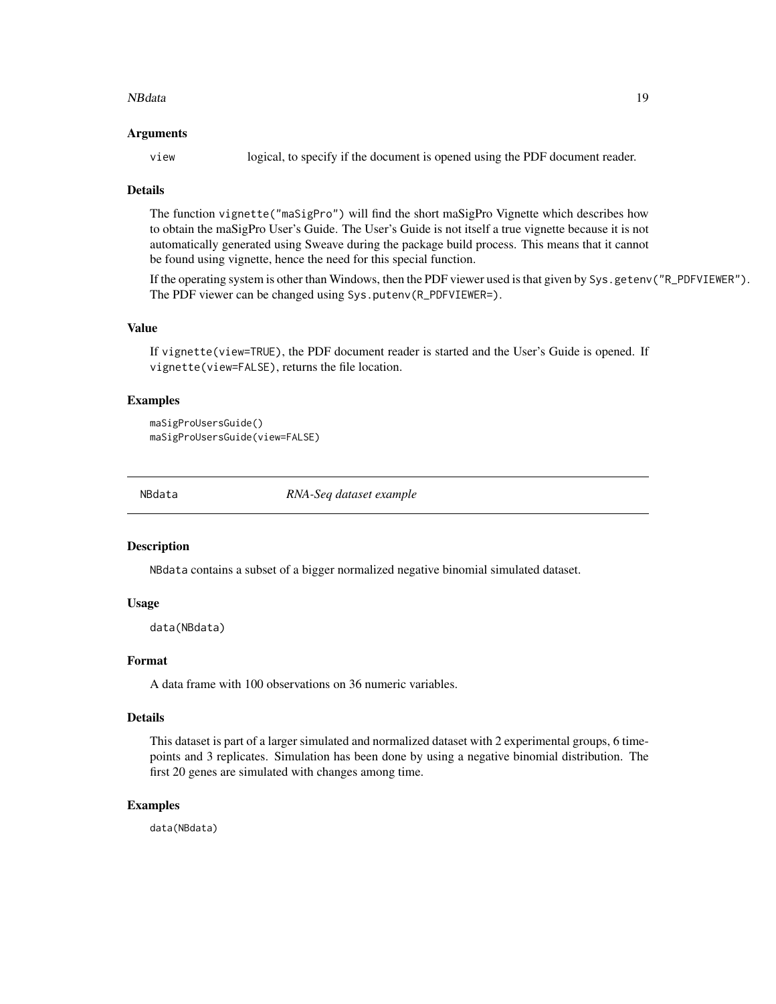#### <span id="page-18-0"></span>NBdata 19

#### Arguments

view logical, to specify if the document is opened using the PDF document reader.

#### Details

The function vignette("maSigPro") will find the short maSigPro Vignette which describes how to obtain the maSigPro User's Guide. The User's Guide is not itself a true vignette because it is not automatically generated using Sweave during the package build process. This means that it cannot be found using vignette, hence the need for this special function.

If the operating system is other than Windows, then the PDF viewer used is that given by Sys.getenv("R\_PDFVIEWER"). The PDF viewer can be changed using Sys.putenv(R\_PDFVIEWER=).

# Value

If vignette(view=TRUE), the PDF document reader is started and the User's Guide is opened. If vignette(view=FALSE), returns the file location.

#### Examples

maSigProUsersGuide() maSigProUsersGuide(view=FALSE)

NBdata *RNA-Seq dataset example*

#### **Description**

NBdata contains a subset of a bigger normalized negative binomial simulated dataset.

#### Usage

data(NBdata)

#### Format

A data frame with 100 observations on 36 numeric variables.

# Details

This dataset is part of a larger simulated and normalized dataset with 2 experimental groups, 6 timepoints and 3 replicates. Simulation has been done by using a negative binomial distribution. The first 20 genes are simulated with changes among time.

# Examples

data(NBdata)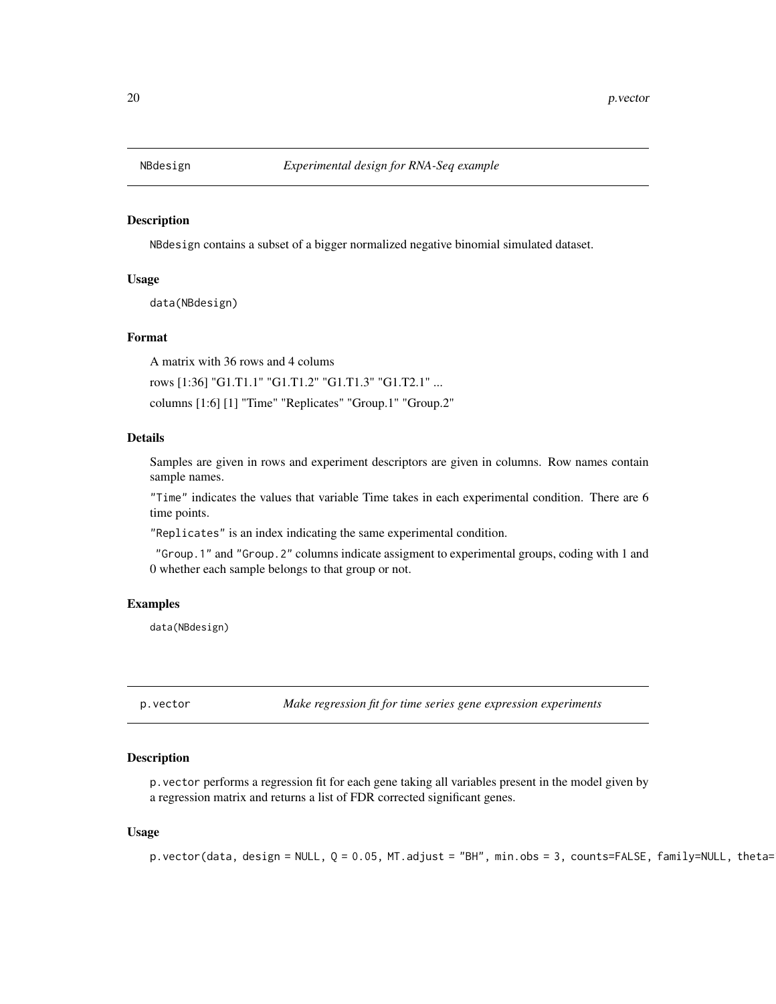<span id="page-19-0"></span>

#### Description

NBdesign contains a subset of a bigger normalized negative binomial simulated dataset.

# Usage

data(NBdesign)

#### Format

A matrix with 36 rows and 4 colums

rows [1:36] "G1.T1.1" "G1.T1.2" "G1.T1.3" "G1.T2.1" ...

columns [1:6] [1] "Time" "Replicates" "Group.1" "Group.2"

# Details

Samples are given in rows and experiment descriptors are given in columns. Row names contain sample names.

"Time" indicates the values that variable Time takes in each experimental condition. There are 6 time points.

"Replicates" is an index indicating the same experimental condition.

"Group.1" and "Group.2" columns indicate assigment to experimental groups, coding with 1 and 0 whether each sample belongs to that group or not.

#### Examples

data(NBdesign)

<span id="page-19-1"></span>p.vector *Make regression fit for time series gene expression experiments*

#### Description

p.vector performs a regression fit for each gene taking all variables present in the model given by a regression matrix and returns a list of FDR corrected significant genes.

#### Usage

p.vector(data, design = NULL,  $Q = 0.05$ , MT.adjust = "BH", min.obs = 3, counts=FALSE, family=NULL, theta=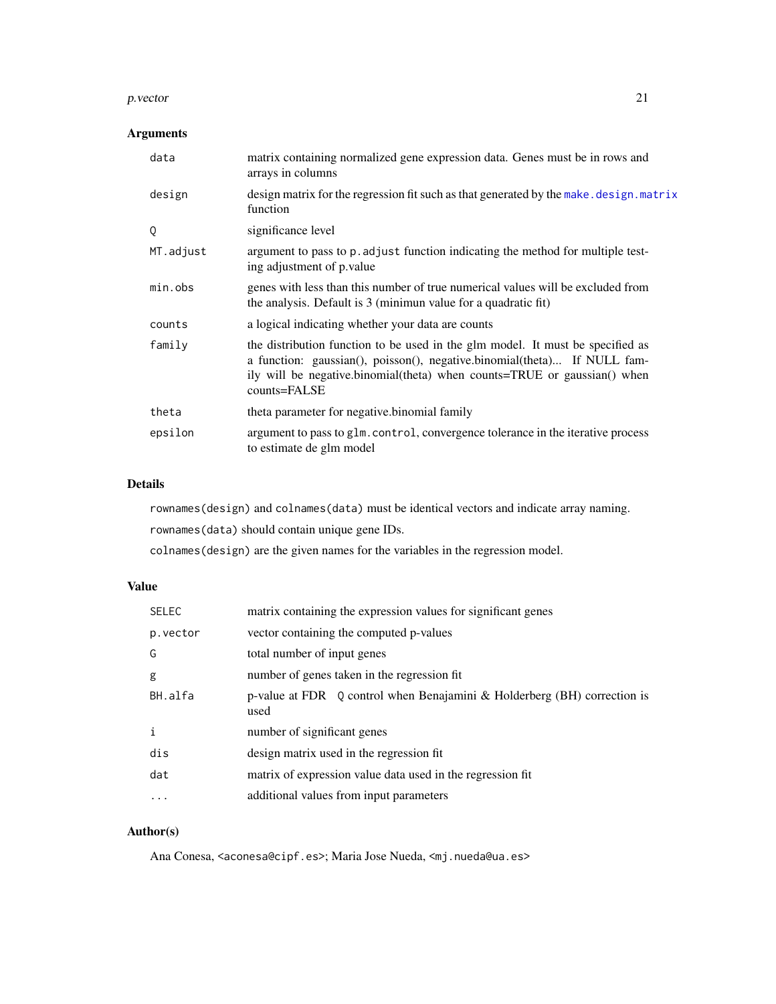#### p. vector 21

# Arguments

| data      | matrix containing normalized gene expression data. Genes must be in rows and<br>arrays in columns                                                                                                                                                      |
|-----------|--------------------------------------------------------------------------------------------------------------------------------------------------------------------------------------------------------------------------------------------------------|
| design    | design matrix for the regression fit such as that generated by the make. design. matrix<br>function                                                                                                                                                    |
| Q         | significance level                                                                                                                                                                                                                                     |
| MT.adjust | argument to pass to p. adjust function indicating the method for multiple test-<br>ing adjustment of p. value                                                                                                                                          |
| min.obs   | genes with less than this number of true numerical values will be excluded from<br>the analysis. Default is 3 (minimum value for a quadratic fit)                                                                                                      |
| counts    | a logical indicating whether your data are counts                                                                                                                                                                                                      |
| family    | the distribution function to be used in the glm model. It must be specified as<br>a function: gaussian(), poisson(), negative.binomial(theta) If NULL fam-<br>ily will be negative.binomial(theta) when counts=TRUE or gaussian() when<br>counts=FALSE |
| theta     | theta parameter for negative binomial family                                                                                                                                                                                                           |
| epsilon   | argument to pass to glm. control, convergence tolerance in the iterative process<br>to estimate de glm model                                                                                                                                           |

# Details

rownames(design) and colnames(data) must be identical vectors and indicate array naming. rownames(data) should contain unique gene IDs.

colnames(design) are the given names for the variables in the regression model.

# Value

| <b>SELEC</b>      | matrix containing the expression values for significant genes                    |
|-------------------|----------------------------------------------------------------------------------|
| p.vector          | vector containing the computed p-values                                          |
| G                 | total number of input genes                                                      |
| g                 | number of genes taken in the regression fit.                                     |
| BH.alfa           | p-value at FDR Q control when Benajamini & Holderberg (BH) correction is<br>used |
| $\mathbf{i}$      | number of significant genes                                                      |
| dis               | design matrix used in the regression fit                                         |
| dat               | matrix of expression value data used in the regression fit                       |
| $\cdot\cdot\cdot$ | additional values from input parameters                                          |

# Author(s)

Ana Conesa, <aconesa@cipf.es>; Maria Jose Nueda, <mj.nueda@ua.es>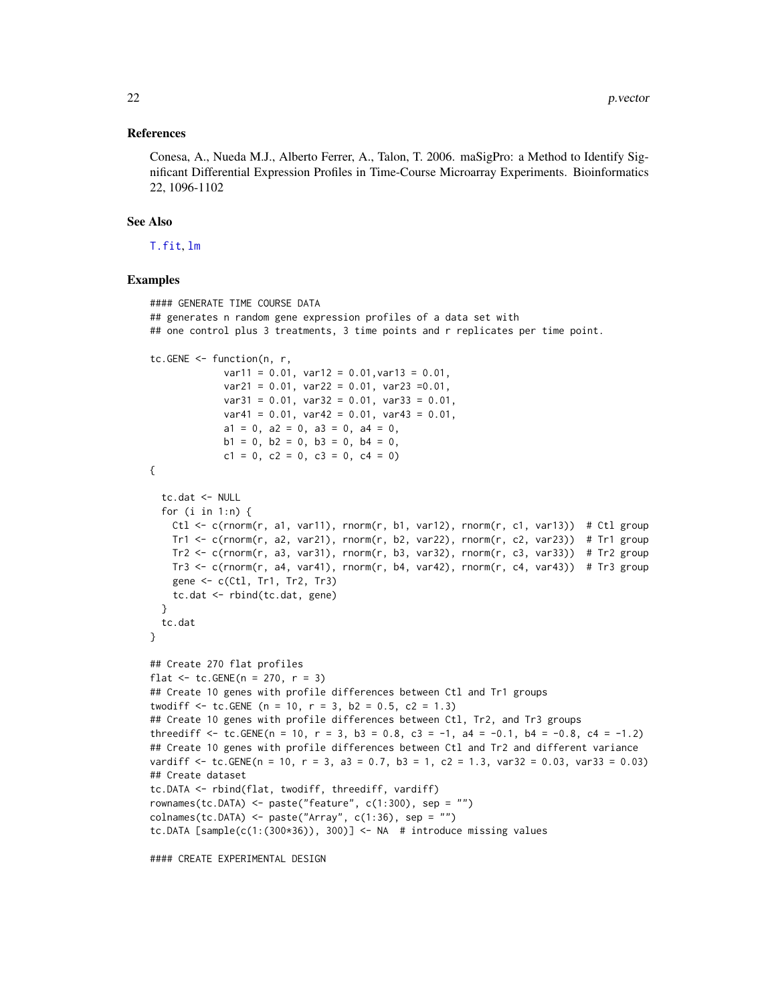#### References

Conesa, A., Nueda M.J., Alberto Ferrer, A., Talon, T. 2006. maSigPro: a Method to Identify Significant Differential Expression Profiles in Time-Course Microarray Experiments. Bioinformatics 22, 1096-1102

#### See Also

[T.fit](#page-35-1), [lm](#page-0-0)

```
#### GENERATE TIME COURSE DATA
## generates n random gene expression profiles of a data set with
## one control plus 3 treatments, 3 time points and r replicates per time point.
tc.GENE <- function(n, r,
             var11 = 0.01, var12 = 0.01, var13 = 0.01,
             var21 = 0.01, var22 = 0.01, var23 = 0.01,
             var31 = 0.01, var32 = 0.01, var33 = 0.01,
             var41 = 0.01, var42 = 0.01, var43 = 0.01,
             a1 = 0, a2 = 0, a3 = 0, a4 = 0,
             b1 = 0, b2 = 0, b3 = 0, b4 = 0,
             c1 = 0, c2 = 0, c3 = 0, c4 = 0)
{
 tc.dat <- NULL
 for (i in 1:n) {
   Ctl \leq c(rnorm(r, a1, var11), rnorm(r, b1, var12), rnorm(r, c1, var13)) # Ctl group
   Tr1 \leq c(rnorm(r, a2, var21), rnorm(r, b2, var22), rnorm(r, c2, var23)) # Tr1 group
   Tr2 \leq c(rnorm(r, a3, var31), rnorm(r, b3, var32), rnorm(r, c3, var33)) # Tr2 group
   Tr3 \leq c(rnorm(r, a4, var41), rnorm(r, b4, var42), rnorm(r, c4, var43)) # Tr3 group
   gene <- c(Ctl, Tr1, Tr2, Tr3)
   tc.dat <- rbind(tc.dat, gene)
 }
 tc.dat
}
## Create 270 flat profiles
flat \le tc. GENE(n = 270, r = 3)
## Create 10 genes with profile differences between Ctl and Tr1 groups
twodiff \le tc.GENE (n = 10, r = 3, b2 = 0.5, c2 = 1.3)
## Create 10 genes with profile differences between Ctl, Tr2, and Tr3 groups
threediff \le tc.GENE(n = 10, r = 3, b3 = 0.8, c3 = -1, a4 = -0.1, b4 = -0.8, c4 = -1.2)
## Create 10 genes with profile differences between Ctl and Tr2 and different variance
vardiff \le tc.GENE(n = 10, r = 3, a3 = 0.7, b3 = 1, c2 = 1.3, var32 = 0.03, var33 = 0.03)
## Create dataset
tc.DATA <- rbind(flat, twodiff, threediff, vardiff)
rownames(tc.DATA) <- paste("feature", c(1:300), sep = "")
collnames(tc.DATA) \leq paste("Array", c(1:36), sep = "")tc.DATA [sample(c(1:(300*36)), 300)] <- NA # introduce missing values
```

```
#### CREATE EXPERIMENTAL DESIGN
```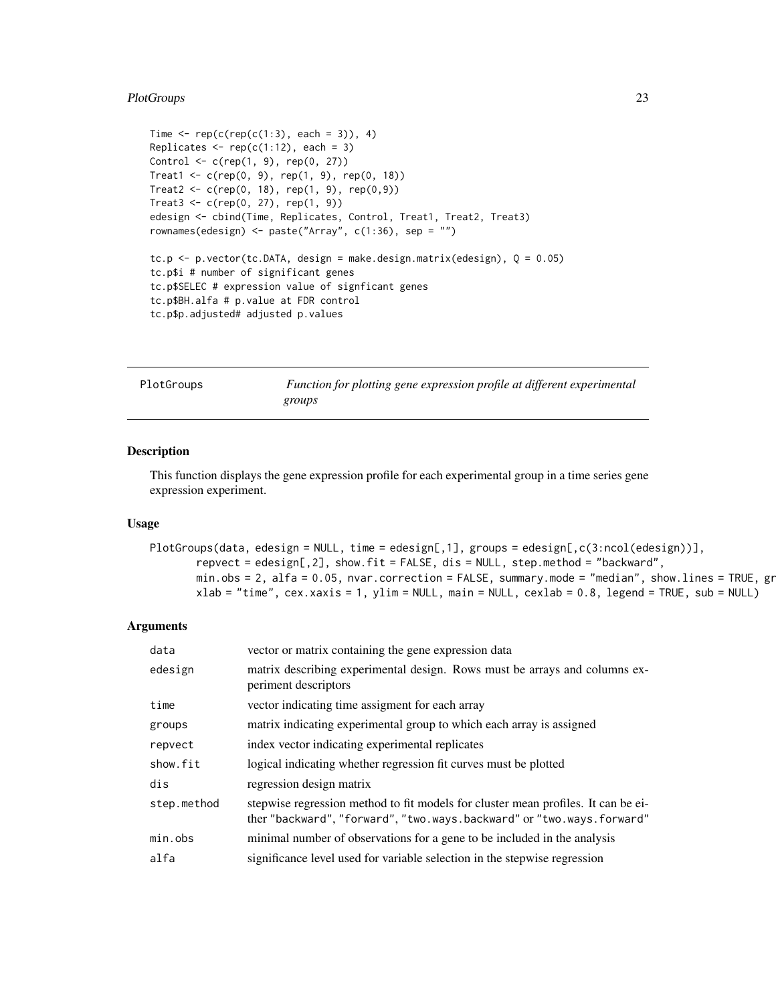# <span id="page-22-0"></span>PlotGroups 23

```
Time \leq rep(c(rep(c(1:3), each = 3)), 4)
Replicates \leq rep(c(1:12), each = 3)
Control <- c(rep(1, 9), rep(0, 27))
Treat1 <- c(rep(0, 9), rep(1, 9), rep(0, 18))
Treat2 <- c(rep(0, 18), rep(1, 9), rep(0,9))
Treat3 < -c(rep(0, 27), rep(1, 9))edesign <- cbind(Time, Replicates, Control, Treat1, Treat2, Treat3)
rownames(edesign) <- paste("Array", c(1:36), sep = "")
tc.p \le p.vector(tc.DATA, design = make.design.matrix(edesign), Q = 0.05)
tc.p$i # number of significant genes
tc.p$SELEC # expression value of signficant genes
tc.p$BH.alfa # p.value at FDR control
tc.p$p.adjusted# adjusted p.values
```
<span id="page-22-1"></span>

| PlotGroups | Function for plotting gene expression profile at different experimental |
|------------|-------------------------------------------------------------------------|
|            | groups                                                                  |

#### Description

This function displays the gene expression profile for each experimental group in a time series gene expression experiment.

#### Usage

```
PlotGroups(data, edesign = NULL, time = edesign[,1], groups = edesign[,c(3:ncol(edesign))],
       repvect = edesign[,2], show.fit = FALSE, dis = NULL, step.method = "backward",
       min. obs = 2, alfa = 0.05, nvar.correction = FALSE, summary.mode = "median", show.lines = TRUE, gr
       xlab = "time", cex.xaxis = 1, ylim = NULL, main = NULL, cexlab = 0.8, legend = TRUE, sub = NULL)
```
# Arguments

| data        | vector or matrix containing the gene expression data                                                                                                       |
|-------------|------------------------------------------------------------------------------------------------------------------------------------------------------------|
| edesign     | matrix describing experimental design. Rows must be arrays and columns ex-<br>periment descriptors                                                         |
| time        | vector indicating time assigment for each array                                                                                                            |
| groups      | matrix indicating experimental group to which each array is assigned                                                                                       |
| repvect     | index vector indicating experimental replicates                                                                                                            |
| show.fit    | logical indicating whether regression fit curves must be plotted                                                                                           |
| dis         | regression design matrix                                                                                                                                   |
| step.method | stepwise regression method to fit models for cluster mean profiles. It can be ei-<br>ther "backward", "forward", "two.ways.backward" or "two.ways.forward" |
| min.obs     | minimal number of observations for a gene to be included in the analysis                                                                                   |
| alfa        | significance level used for variable selection in the stepwise regression                                                                                  |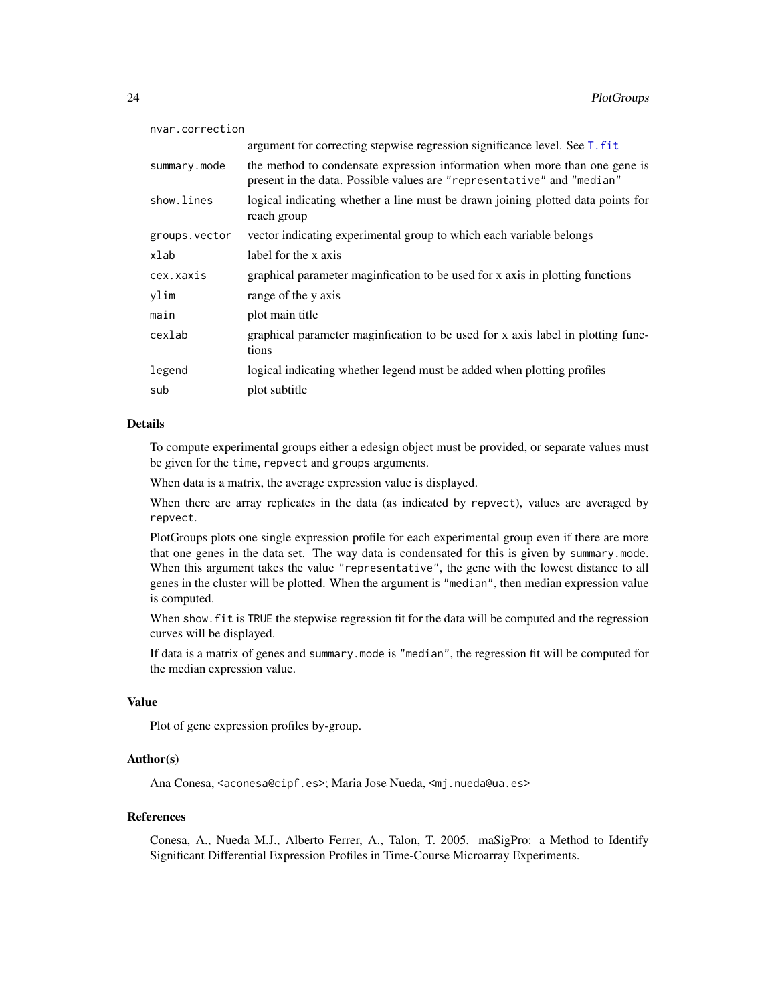| nvar.correction |                                                                                                                                                      |  |
|-----------------|------------------------------------------------------------------------------------------------------------------------------------------------------|--|
|                 | argument for correcting stepwise regression significance level. See T. fit                                                                           |  |
| summary.mode    | the method to condensate expression information when more than one gene is<br>present in the data. Possible values are "representative" and "median" |  |
| show.lines      | logical indicating whether a line must be drawn joining plotted data points for<br>reach group                                                       |  |
| groups.vector   | vector indicating experimental group to which each variable belongs                                                                                  |  |
| xlab            | label for the x axis                                                                                                                                 |  |
| cex.xaxis       | graphical parameter maginfication to be used for x axis in plotting functions                                                                        |  |
| ylim            | range of the y axis                                                                                                                                  |  |
| main            | plot main title                                                                                                                                      |  |
| cexlab          | graphical parameter maginfication to be used for x axis label in plotting func-<br>tions                                                             |  |
| legend          | logical indicating whether legend must be added when plotting profiles                                                                               |  |
| sub             | plot subtitle                                                                                                                                        |  |

#### Details

To compute experimental groups either a edesign object must be provided, or separate values must be given for the time, repvect and groups arguments.

When data is a matrix, the average expression value is displayed.

When there are array replicates in the data (as indicated by repvect), values are averaged by repvect.

PlotGroups plots one single expression profile for each experimental group even if there are more that one genes in the data set. The way data is condensated for this is given by summary.mode. When this argument takes the value "representative", the gene with the lowest distance to all genes in the cluster will be plotted. When the argument is "median", then median expression value is computed.

When show. fit is TRUE the stepwise regression fit for the data will be computed and the regression curves will be displayed.

If data is a matrix of genes and summary.mode is "median", the regression fit will be computed for the median expression value.

#### Value

Plot of gene expression profiles by-group.

# Author(s)

Ana Conesa, <aconesa@cipf.es>; Maria Jose Nueda, <mj.nueda@ua.es>

### References

Conesa, A., Nueda M.J., Alberto Ferrer, A., Talon, T. 2005. maSigPro: a Method to Identify Significant Differential Expression Profiles in Time-Course Microarray Experiments.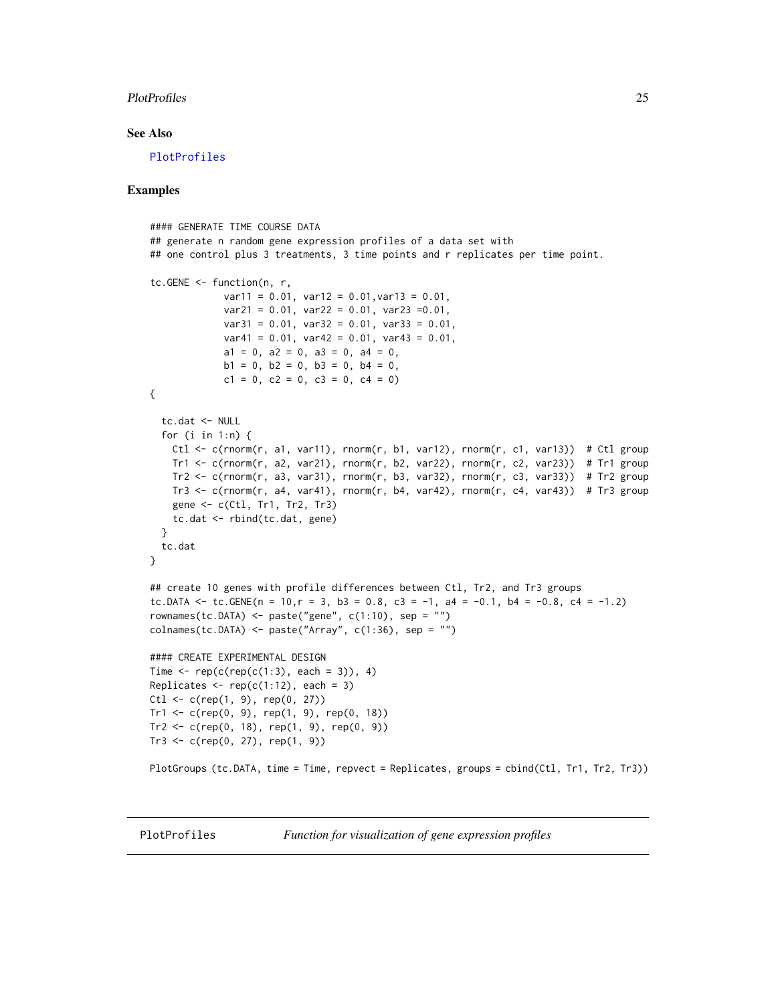#### <span id="page-24-0"></span>PlotProfiles 25

#### See Also

[PlotProfiles](#page-24-1)

#### Examples

```
#### GENERATE TIME COURSE DATA
## generate n random gene expression profiles of a data set with
## one control plus 3 treatments, 3 time points and r replicates per time point.
tc.GENE <- function(n, r,
             var11 = 0.01, var12 = 0.01, var13 = 0.01,
             var21 = 0.01, var22 = 0.01, var23 = 0.01,
             var31 = 0.01, var32 = 0.01, var33 = 0.01,
             var41 = 0.01, var42 = 0.01, var43 = 0.01,
             a1 = 0, a2 = 0, a3 = 0, a4 = 0,
             b1 = 0, b2 = 0, b3 = 0, b4 = 0,
             c1 = 0, c2 = 0, c3 = 0, c4 = 0)
{
  tc.dat <- NULL
  for (i in 1:n) {
   Ctl <- c(rnorm(r, a1, var11), rnorm(r, b1, var12), rnorm(r, c1, var13)) # Ctl group
   Tr1 <- c(rnorm(r, a2, var21), rnorm(r, b2, var22), rnorm(r, c2, var23)) # Tr1 group
   Tr2 \leq c(rnorm(r, a3, var31), rnorm(r, b3, var32), rnorm(r, c3, var33)) # Tr2 group
   Tr3 \leq c(rnorm(r, a4, var41), rnorm(r, b4, var42), rnorm(r, c4, var43)) # Tr3 group
   gene <- c(Ctl, Tr1, Tr2, Tr3)
   tc.dat <- rbind(tc.dat, gene)
  }
  tc.dat
}
## create 10 genes with profile differences between Ctl, Tr2, and Tr3 groups
tc.DATA \leq tc.GENE(n = 10, r = 3, b3 = 0.8, c3 = -1, a4 = -0.1, b4 = -0.8, c4 = -1.2)
rownames(tc.DATA) <- paste("gene", c(1:10), sep = "")
collnames(tc.DATA) \leq paste("Array", c(1:36), sep = "")#### CREATE EXPERIMENTAL DESIGN
Time \leq rep(c(rep(c(1:3), each = 3)), 4)
Replicates \leq rep(c(1:12), each = 3)
Ct1 \leq c(\text{rep}(1, 9), \text{rep}(0, 27))Tr1 \leq c (rep(0, 9), rep(1, 9), rep(0, 18))
Tr2 \leq c (rep(0, 18), rep(1, 9), rep(0, 9))
Tr3 < -c(rep(0, 27), rep(1, 9))PlotGroups (tc.DATA, time = Time, repvect = Replicates, groups = cbind(Ctl, Tr1, Tr2, Tr3))
```
<span id="page-24-1"></span>

PlotProfiles *Function for visualization of gene expression profiles*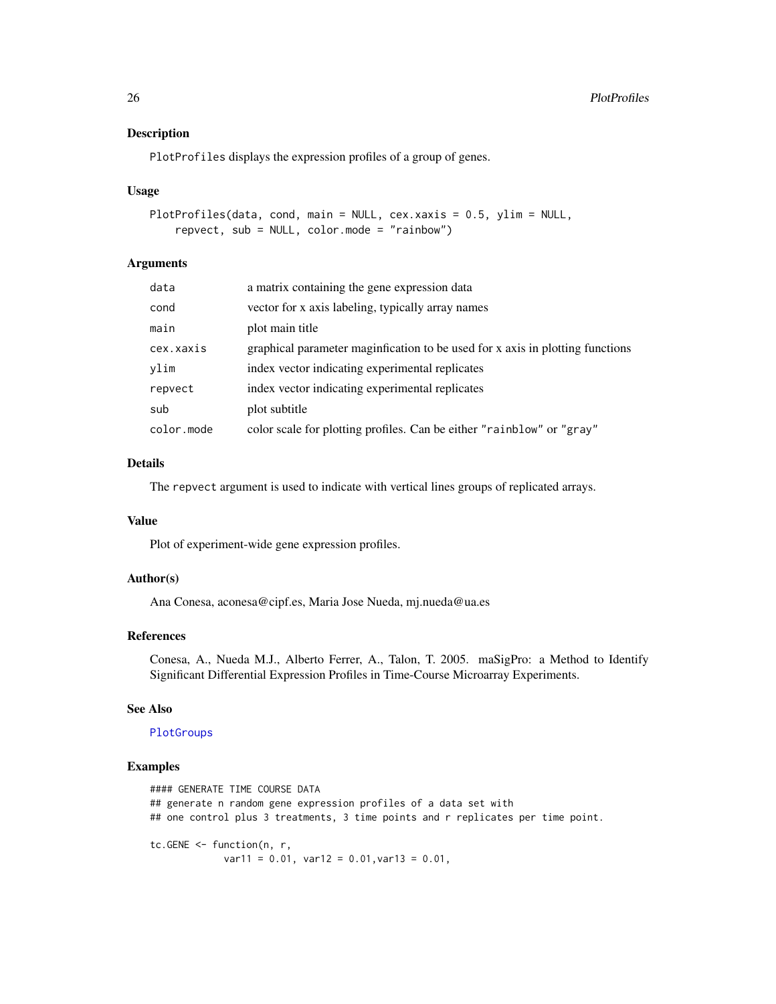#### Description

PlotProfiles displays the expression profiles of a group of genes.

#### Usage

```
PlotProfiles(data, cond, main = NULL, cex.xaxis = 0.5, ylim = NULL,
   repvect, sub = NULL, color.mode = "rainbow")
```
# Arguments

| data       | a matrix containing the gene expression data                                  |
|------------|-------------------------------------------------------------------------------|
| cond       | vector for x axis labeling, typically array names                             |
| main       | plot main title                                                               |
| cex.xaxis  | graphical parameter maginfication to be used for x axis in plotting functions |
| vlim       | index vector indicating experimental replicates                               |
| repvect    | index vector indicating experimental replicates                               |
| sub        | plot subtitle                                                                 |
| color.mode | color scale for plotting profiles. Can be either "rainblow" or "gray"         |

# Details

The repvect argument is used to indicate with vertical lines groups of replicated arrays.

# Value

Plot of experiment-wide gene expression profiles.

### Author(s)

Ana Conesa, aconesa@cipf.es, Maria Jose Nueda, mj.nueda@ua.es

#### References

Conesa, A., Nueda M.J., Alberto Ferrer, A., Talon, T. 2005. maSigPro: a Method to Identify Significant Differential Expression Profiles in Time-Course Microarray Experiments.

#### See Also

#### [PlotGroups](#page-22-1)

```
#### GENERATE TIME COURSE DATA
## generate n random gene expression profiles of a data set with
## one control plus 3 treatments, 3 time points and r replicates per time point.
tc.GENE <- function(n, r,
            var11 = 0.01, var12 = 0.01, var13 = 0.01,
```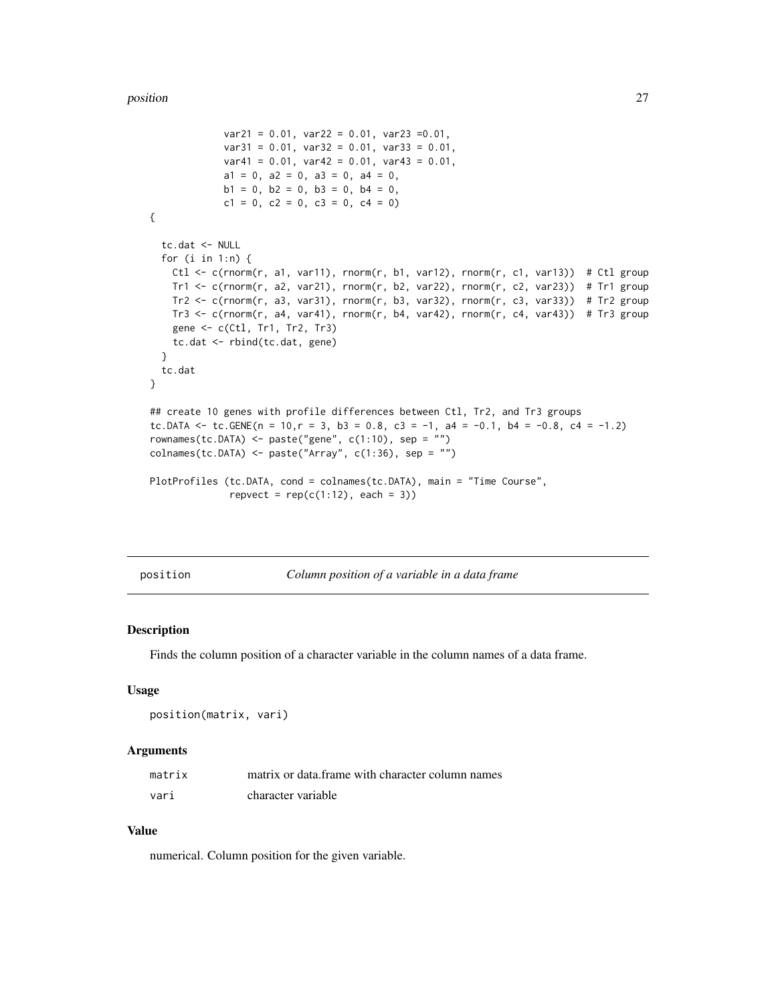```
var21 = 0.01, var22 = 0.01, var23 = 0.01,
             var31 = 0.01, var32 = 0.01, var33 = 0.01,
             var41 = 0.01, var42 = 0.01, var43 = 0.01,
             a1 = 0, a2 = 0, a3 = 0, a4 = 0,
             b1 = 0, b2 = 0, b3 = 0, b4 = 0,
             c1 = 0, c2 = 0, c3 = 0, c4 = 0)
{
 tc.dat <- NULL
 for (i in 1:n) {
   Ctl \leq c(rnorm(r, a1, var11), rnorm(r, b1, var12), rnorm(r, c1, var13)) # Ctl group
   Tr1 <- c(rnorm(r, a2, var21), rnorm(r, b2, var22), rnorm(r, c2, var23)) # Tr1 group
   Tr2 <- c(rnorm(r, a3, var31), rnorm(r, b3, var32), rnorm(r, c3, var33)) # Tr2 group
   Tr3 \leq c(rnorm(r, a4, var41), rnorm(r, b4, var42), rnorm(r, c4, var43)) # Tr3 group
   gene <- c(Ctl, Tr1, Tr2, Tr3)
   tc.dat <- rbind(tc.dat, gene)
 }
 tc.dat
}
## create 10 genes with profile differences between Ctl, Tr2, and Tr3 groups
tc.DATA <- tc.GENE(n = 10, r = 3, b3 = 0.8, c3 = -1, a4 = -0.1, b4 = -0.8, c4 = -1.2)
rownames(tc.DATA) <- paste("gene", c(1:10), sep = "")
colnames(tc.DATA) <- paste("Array", c(1:36), sep = "")
PlotProfiles (tc.DATA, cond = colnames(tc.DATA), main = "Time Course",
              repvect = rep(c(1:12), each = 3))
```
position *Column position of a variable in a data frame*

#### Description

Finds the column position of a character variable in the column names of a data frame.

#### Usage

```
position(matrix, vari)
```
#### **Arguments**

| matrix | matrix or data. frame with character column names |
|--------|---------------------------------------------------|
| vari   | character variable                                |

# Value

numerical. Column position for the given variable.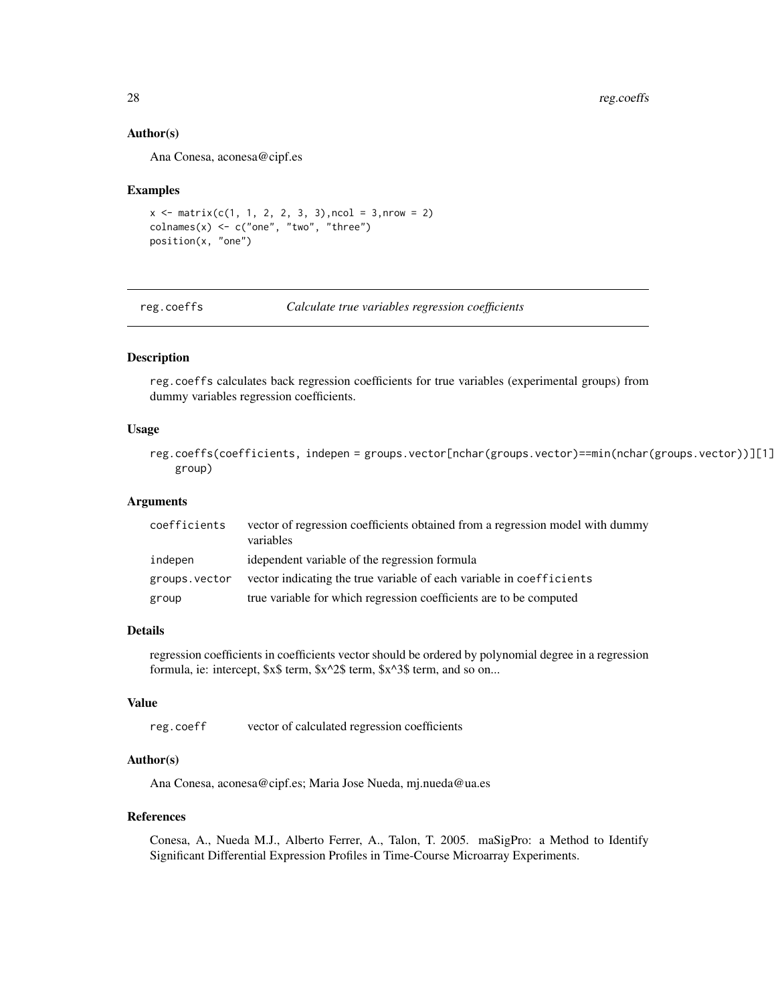<span id="page-27-0"></span>28 reg.coeffs

#### Author(s)

Ana Conesa, aconesa@cipf.es

#### Examples

```
x \le matrix(c(1, 1, 2, 2, 3, 3), ncol = 3, nrow = 2)
\text{columns}(x) \leq c("one", "two", "three")position(x, "one")
```
reg.coeffs *Calculate true variables regression coefficients*

# Description

reg.coeffs calculates back regression coefficients for true variables (experimental groups) from dummy variables regression coefficients.

#### Usage

reg.coeffs(coefficients, indepen = groups.vector[nchar(groups.vector)==min(nchar(groups.vector))][1] group)

### Arguments

| coefficients  | vector of regression coefficients obtained from a regression model with dummy<br>variables |
|---------------|--------------------------------------------------------------------------------------------|
| indepen       | idependent variable of the regression formula                                              |
| groups.vector | vector indicating the true variable of each variable in coefficients                       |
| group         | true variable for which regression coefficients are to be computed                         |

# Details

regression coefficients in coefficients vector should be ordered by polynomial degree in a regression formula, ie: intercept, \$x\$ term, \$x^2\$ term, \$x^3\$ term, and so on...

# Value

reg.coeff vector of calculated regression coefficients

# Author(s)

Ana Conesa, aconesa@cipf.es; Maria Jose Nueda, mj.nueda@ua.es

#### References

Conesa, A., Nueda M.J., Alberto Ferrer, A., Talon, T. 2005. maSigPro: a Method to Identify Significant Differential Expression Profiles in Time-Course Microarray Experiments.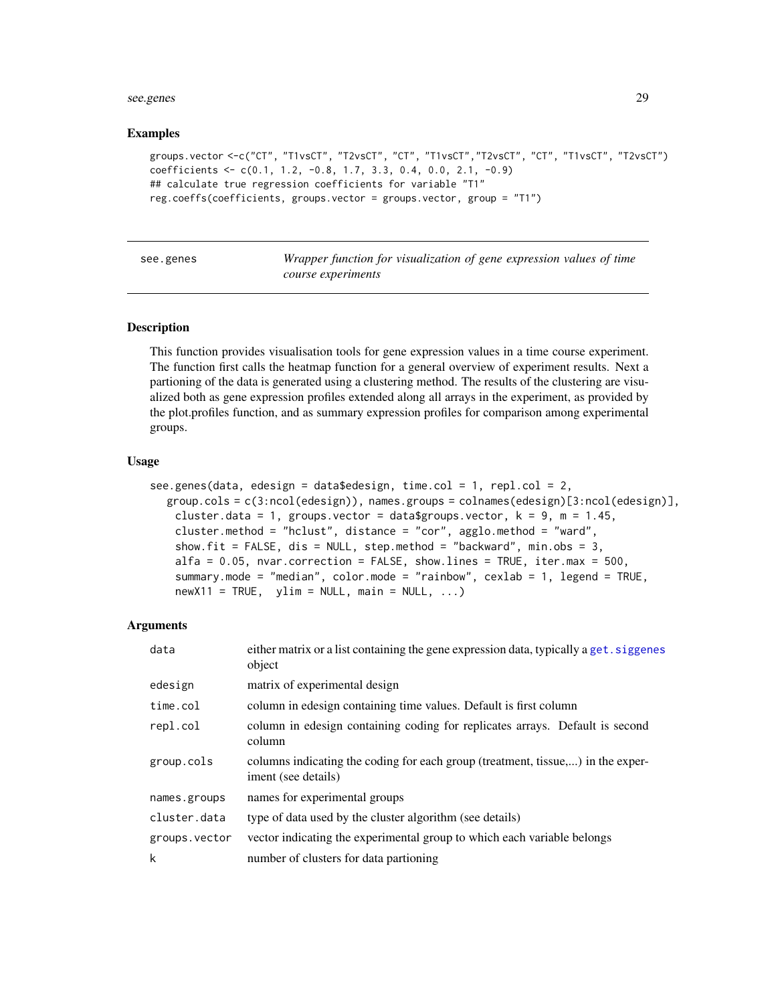#### <span id="page-28-0"></span>see.genes 29

#### Examples

```
groups.vector <-c("CT", "T1vsCT", "T2vsCT", "CT", "T1vsCT","T2vsCT", "CT", "T1vsCT", "T2vsCT")
coefficients <- c(0.1, 1.2, -0.8, 1.7, 3.3, 0.4, 0.0, 2.1, -0.9)
## calculate true regression coefficients for variable "T1"
reg.coeffs(coefficients, groups.vector = groups.vector, group = "T1")
```
<span id="page-28-1"></span>see.genes *Wrapper function for visualization of gene expression values of time course experiments*

#### Description

This function provides visualisation tools for gene expression values in a time course experiment. The function first calls the heatmap function for a general overview of experiment results. Next a partioning of the data is generated using a clustering method. The results of the clustering are visualized both as gene expression profiles extended along all arrays in the experiment, as provided by the plot.profiles function, and as summary expression profiles for comparison among experimental groups.

#### Usage

```
see.genes(data, edesign = data$edesign, time.col = 1, repl.col = 2,
  group.cols = c(3:ncol(edesign)), names.groups = colnames(edesign)[3:ncol(edesign)],
   cluster.data = 1, groups.vector = data$groups.vector, k = 9, m = 1.45,
   cluster.method = "hclust", distance = "cor", agglo.method = "ward",
   show.fit = FALSE, dis = NULL, step.method = "backward", min.obs = 3,
   alfa = 0.05, nvar.correction = FALSE, show.lines = TRUE, iter.max = 500,
   summary.mode = "median", color.mode = "rainbow", cexlab = 1, legend = TRUE,
   newX11 = TRUE, ylim = NULL, main = NULL, ...)
```
#### Arguments

| data          | either matrix or a list containing the gene expression data, typically a get siggenes<br>object        |
|---------------|--------------------------------------------------------------------------------------------------------|
| edesign       | matrix of experimental design                                                                          |
| time.col      | column in edesign containing time values. Default is first column                                      |
| repl.col      | column in edesign containing coding for replicates arrays. Default is second<br>column                 |
| group.cols    | columns indicating the coding for each group (treatment, tissue,) in the exper-<br>iment (see details) |
| names.groups  | names for experimental groups                                                                          |
| cluster.data  | type of data used by the cluster algorithm (see details)                                               |
| groups.vector | vector indicating the experimental group to which each variable belongs                                |
| k             | number of clusters for data partioning                                                                 |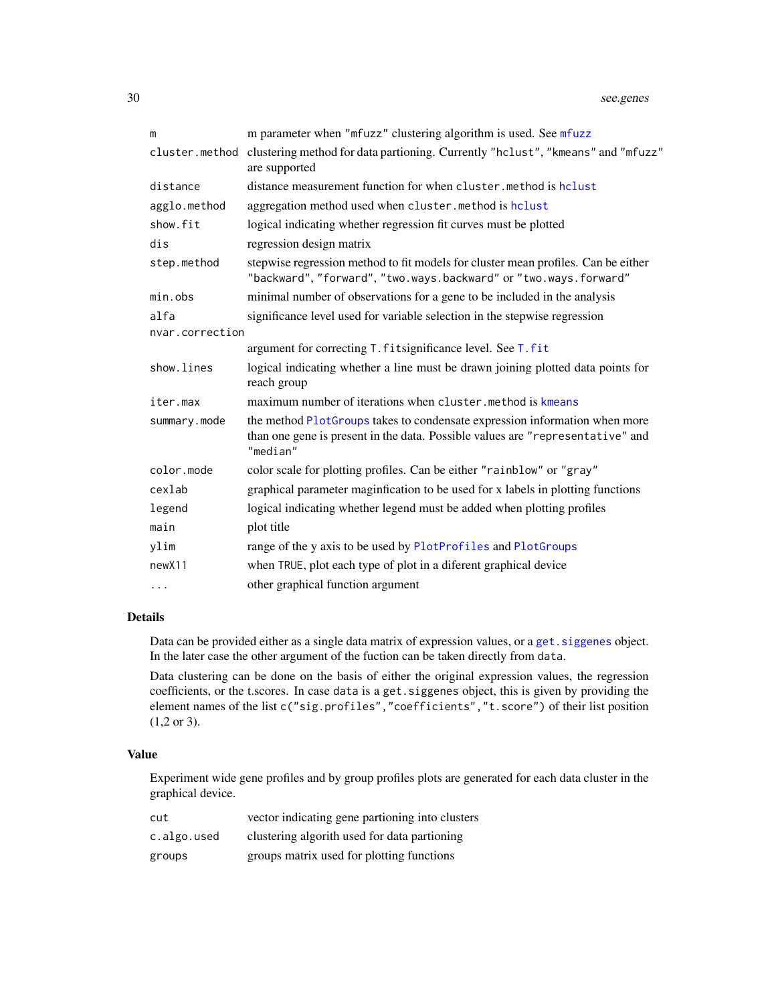| m                  | m parameter when "mfuzz" clustering algorithm is used. See mfuzz                                                                                                         |
|--------------------|--------------------------------------------------------------------------------------------------------------------------------------------------------------------------|
| cluster.method     | clustering method for data partioning. Currently "hclust", "kmeans" and "mfuzz"<br>are supported                                                                         |
| distance           | distance measurement function for when cluster.method is holust                                                                                                          |
| agglo.method       | aggregation method used when cluster.method is hclust                                                                                                                    |
| show.fit           | logical indicating whether regression fit curves must be plotted                                                                                                         |
| dis                | regression design matrix                                                                                                                                                 |
| step.method        | stepwise regression method to fit models for cluster mean profiles. Can be either<br>"backward", "forward", "two.ways.backward" or "two.ways.forward"                    |
| min.obs            | minimal number of observations for a gene to be included in the analysis                                                                                                 |
| alfa               | significance level used for variable selection in the stepwise regression                                                                                                |
| nvar.correction    |                                                                                                                                                                          |
|                    | argument for correcting T. fitsignificance level. See T. fit                                                                                                             |
| show.lines         | logical indicating whether a line must be drawn joining plotted data points for<br>reach group                                                                           |
| iter.max           | maximum number of iterations when cluster, method is kmeans                                                                                                              |
| summary.mode       | the method PlotGroups takes to condensate expression information when more<br>than one gene is present in the data. Possible values are "representative" and<br>"median" |
| color.mode         | color scale for plotting profiles. Can be either "rainblow" or "gray"                                                                                                    |
| cexlab             | graphical parameter maginfication to be used for x labels in plotting functions                                                                                          |
| legend             | logical indicating whether legend must be added when plotting profiles                                                                                                   |
| main               | plot title                                                                                                                                                               |
| ylim               | range of the y axis to be used by PlotProfiles and PlotGroups                                                                                                            |
| new <sub>X11</sub> | when TRUE, plot each type of plot in a diferent graphical device                                                                                                         |
| $\ldots$           | other graphical function argument                                                                                                                                        |

#### Details

Data can be provided either as a single data matrix of expression values, or a get. siggenes object. In the later case the other argument of the fuction can be taken directly from data.

Data clustering can be done on the basis of either the original expression values, the regression coefficients, or the t.scores. In case data is a get.siggenes object, this is given by providing the element names of the list c("sig.profiles","coefficients","t.score") of their list position (1,2 or 3).

# Value

Experiment wide gene profiles and by group profiles plots are generated for each data cluster in the graphical device.

| cut         | vector indicating gene partioning into clusters |
|-------------|-------------------------------------------------|
| c.algo.used | clustering algorith used for data partioning    |
| groups      | groups matrix used for plotting functions       |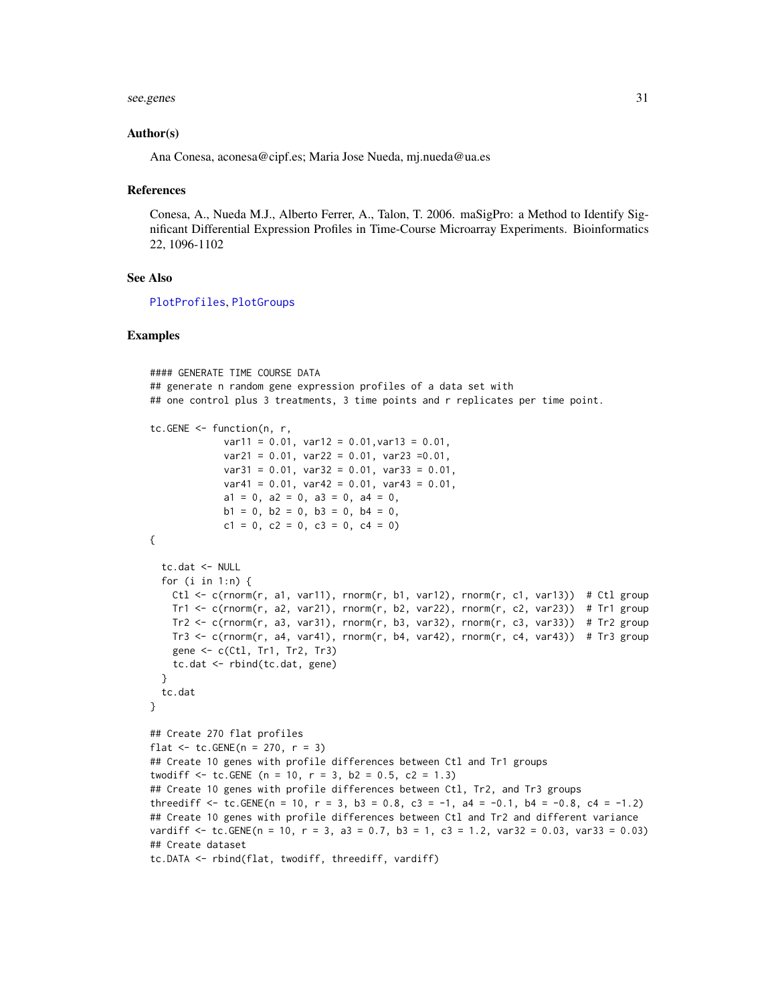see.genes 31

#### Author(s)

Ana Conesa, aconesa@cipf.es; Maria Jose Nueda, mj.nueda@ua.es

#### References

Conesa, A., Nueda M.J., Alberto Ferrer, A., Talon, T. 2006. maSigPro: a Method to Identify Significant Differential Expression Profiles in Time-Course Microarray Experiments. Bioinformatics 22, 1096-1102

# See Also

[PlotProfiles](#page-24-1), [PlotGroups](#page-22-1)

```
#### GENERATE TIME COURSE DATA
## generate n random gene expression profiles of a data set with
## one control plus 3 treatments, 3 time points and r replicates per time point.
tc.GENE <- function(n, r,
             var11 = 0.01, var12 = 0.01, var13 = 0.01,
             var21 = 0.01, var22 = 0.01, var23 =0.01,
             var31 = 0.01, var32 = 0.01, var33 = 0.01,
             var41 = 0.01, var42 = 0.01, var43 = 0.01,
             a1 = 0, a2 = 0, a3 = 0, a4 = 0,
             b1 = 0, b2 = 0, b3 = 0, b4 = 0,
             c1 = 0, c2 = 0, c3 = 0, c4 = 0)
{
 tc.dat <- NULL
 for (i in 1:n) {
   Ctl \leq c(rnorm(r, a1, var11), rnorm(r, b1, var12), rnorm(r, c1, var13)) # Ctl group
   Tr1 \le c(rnorm(r, a2, var21), rnorm(r, b2, var22), rnorm(r, c2, var23)) # Tr1 group
   Tr2 <- c(rnorm(r, a3, var31), rnorm(r, b3, var32), rnorm(r, c3, var33)) # Tr2 group
   Tr3 \leq c(rnorm(r, a4, var41), rnorm(r, b4, var42), rnorm(r, c4, var43)) # Tr3 group
   gene <- c(Ctl, Tr1, Tr2, Tr3)
   tc.dat <- rbind(tc.dat, gene)
 }
 tc.dat
}
## Create 270 flat profiles
flat \le tc. GENE(n = 270, r = 3)
## Create 10 genes with profile differences between Ctl and Tr1 groups
twodiff \le tc.GENE (n = 10, r = 3, b2 = 0.5, c2 = 1.3)
## Create 10 genes with profile differences between Ctl, Tr2, and Tr3 groups
threediff \le tc.GENE(n = 10, r = 3, b3 = 0.8, c3 = -1, a4 = -0.1, b4 = -0.8, c4 = -1.2)
## Create 10 genes with profile differences between Ctl and Tr2 and different variance
vardiff \le tc. GENE(n = 10, r = 3, a3 = 0.7, b3 = 1, c3 = 1.2, var32 = 0.03, var33 = 0.03)
## Create dataset
tc.DATA <- rbind(flat, twodiff, threediff, vardiff)
```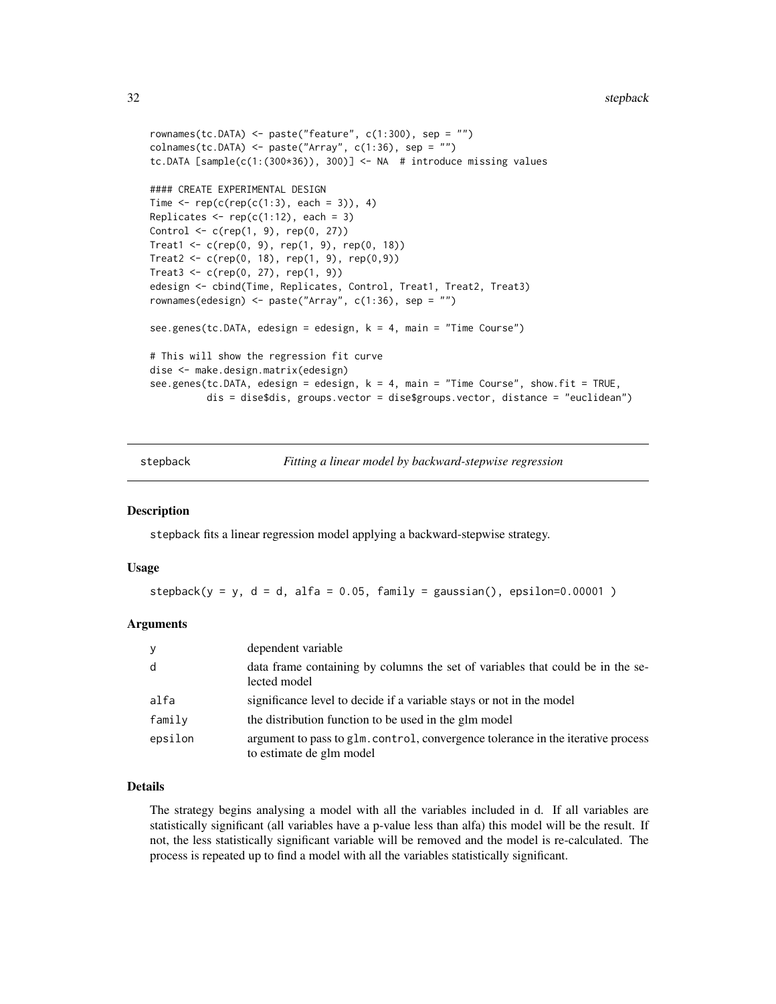```
rownames(tc.DATA) <- paste("feature", c(1:300), sep = "")
collnames(tc.DATA) \leq plate('Array", c(1:36), sep = "")tc.DATA [sample(c(1:(300*36)), 300)] <- NA # introduce missing values
#### CREATE EXPERIMENTAL DESIGN
Time \leq rep(c(rep(c(1:3), each = 3)), 4)
Replicates \leq rep(c(1:12), each = 3)
Control <- c(rep(1, 9), rep(0, 27))
Treat1 <- c(rep(0, 9), rep(1, 9), rep(0, 18))Treat2 < -c(rep(0, 18), rep(1, 9), rep(0,9))Treat3 < -c(rep(0, 27), rep(1, 9))edesign <- cbind(Time, Replicates, Control, Treat1, Treat2, Treat3)
rownames(edesign) <- paste("Array", c(1:36), sep = "")
see.genes(tc.DATA, edesign = edesign, k = 4, main = "Time Course")
# This will show the regression fit curve
dise <- make.design.matrix(edesign)
see.genes(tc.DATA, edesign = edesign, k = 4, main = "Time Course", show.fit = TRUE,
          dis = dise$dis, groups.vector = dise$groups.vector, distance = "euclidean")
```
<span id="page-31-1"></span>stepback *Fitting a linear model by backward-stepwise regression*

#### Description

stepback fits a linear regression model applying a backward-stepwise strategy.

#### Usage

stepback( $y = y$ ,  $d = d$ , alfa = 0.05, family = gaussian(), epsilon=0.00001)

#### Arguments

| y       | dependent variable                                                                                           |
|---------|--------------------------------------------------------------------------------------------------------------|
| d       | data frame containing by columns the set of variables that could be in the se-<br>lected model               |
| alfa    | significance level to decide if a variable stays or not in the model                                         |
| family  | the distribution function to be used in the glm model                                                        |
| epsilon | argument to pass to glm. control, convergence tolerance in the iterative process<br>to estimate de glm model |

#### Details

The strategy begins analysing a model with all the variables included in d. If all variables are statistically significant (all variables have a p-value less than alfa) this model will be the result. If not, the less statistically significant variable will be removed and the model is re-calculated. The process is repeated up to find a model with all the variables statistically significant.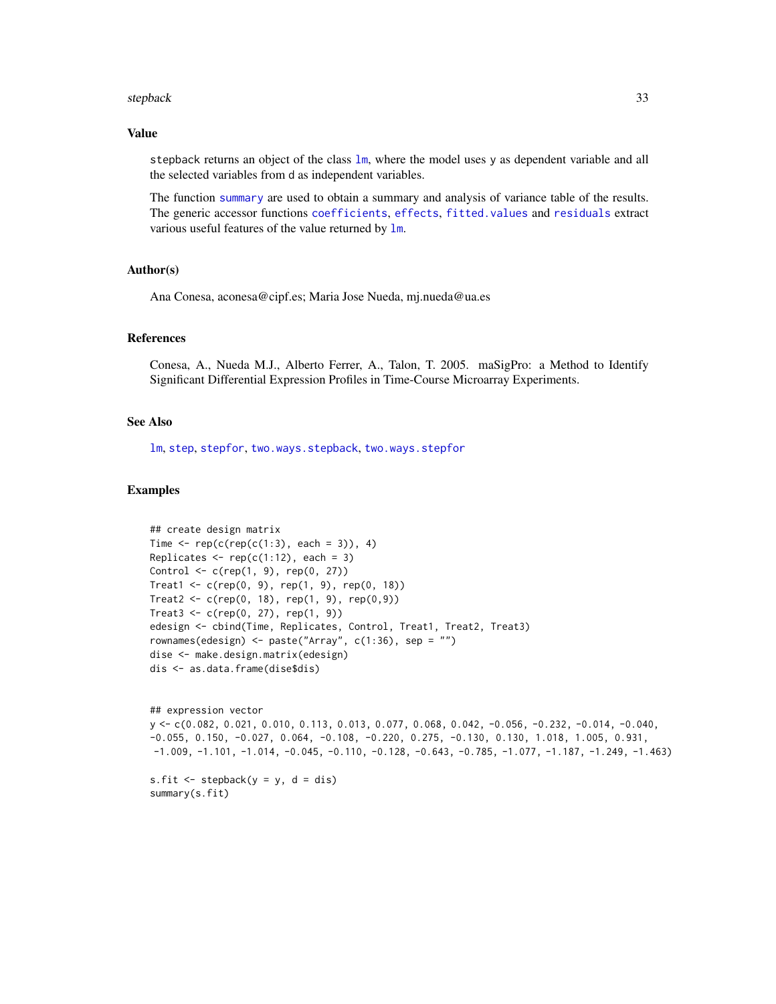#### stepback 33

#### Value

stepback returns an object of the class  $lm$ , where the model uses y as dependent variable and all the selected variables from d as independent variables.

The function [summary](#page-0-0) are used to obtain a summary and analysis of variance table of the results. The generic accessor functions [coefficients](#page-0-0), [effects](#page-0-0), [fitted.values](#page-0-0) and [residuals](#page-0-0) extract various useful features of the value returned by [lm](#page-0-0).

#### Author(s)

Ana Conesa, aconesa@cipf.es; Maria Jose Nueda, mj.nueda@ua.es

#### References

Conesa, A., Nueda M.J., Alberto Ferrer, A., Talon, T. 2005. maSigPro: a Method to Identify Significant Differential Expression Profiles in Time-Course Microarray Experiments.

#### See Also

[lm](#page-0-0), [step](#page-0-0), [stepfor](#page-33-1), [two.ways.stepback](#page-38-1), [two.ways.stepfor](#page-40-1)

```
## create design matrix
Time \leq rep(c(rep(c(1:3), each = 3)), 4)
Replicates \leq rep(c(1:12), each = 3)
Control \leq c (rep(1, 9), rep(0, 27))
Treat1 <- c(rep(0, 9), rep(1, 9), rep(0, 18))
Treat2 <- c(rep(0, 18), rep(1, 9), rep(0,9))
Treat3 < -c(rep(0, 27), rep(1, 9))edesign <- cbind(Time, Replicates, Control, Treat1, Treat2, Treat3)
rownames(edesign) <- paste("Array", c(1:36), sep = "")
dise <- make.design.matrix(edesign)
dis <- as.data.frame(dise$dis)
```

```
## expression vector
y <- c(0.082, 0.021, 0.010, 0.113, 0.013, 0.077, 0.068, 0.042, -0.056, -0.232, -0.014, -0.040,
-0.055, 0.150, -0.027, 0.064, -0.108, -0.220, 0.275, -0.130, 0.130, 1.018, 1.005, 0.931,
-1.009, -1.101, -1.014, -0.045, -0.110, -0.128, -0.643, -0.785, -1.077, -1.187, -1.249, -1.463)
s.fit \le stepback(y = y, d = dis)
summary(s.fit)
```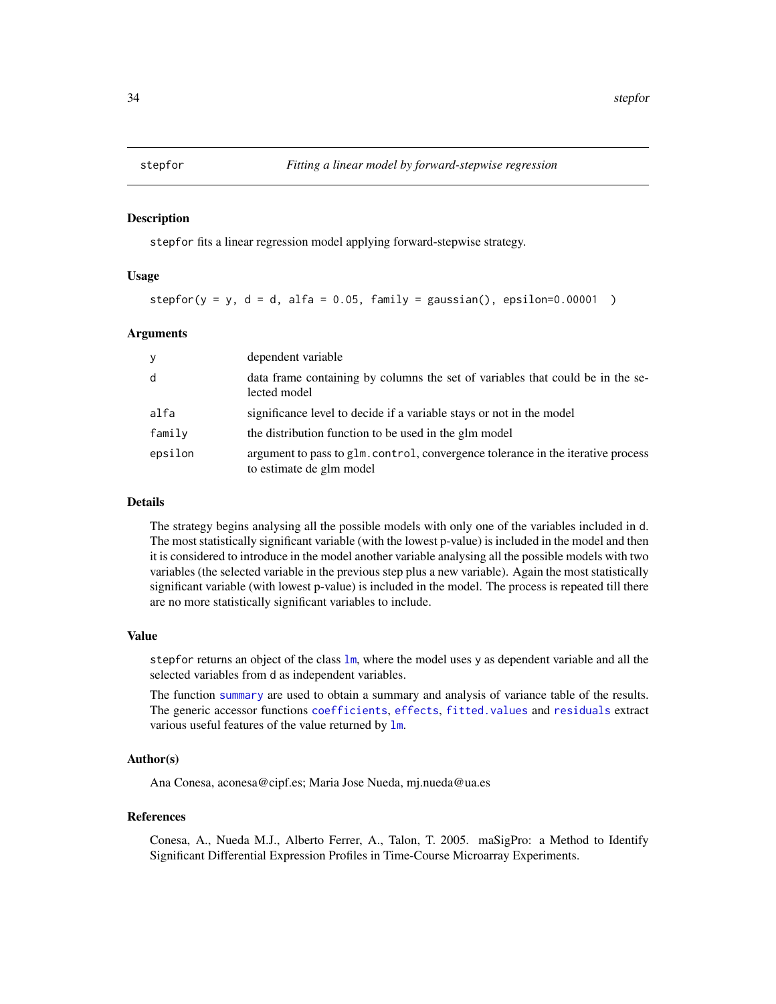<span id="page-33-1"></span><span id="page-33-0"></span>

#### Description

stepfor fits a linear regression model applying forward-stepwise strategy.

# Usage

stepfor( $y = y$ ,  $d = d$ , alfa = 0.05, family = gaussian(), epsilon=0.00001 )

#### Arguments

| y       | dependent variable                                                                                           |
|---------|--------------------------------------------------------------------------------------------------------------|
| d       | data frame containing by columns the set of variables that could be in the se-<br>lected model               |
| alfa    | significance level to decide if a variable stays or not in the model                                         |
| family  | the distribution function to be used in the glm model                                                        |
| epsilon | argument to pass to g1m, control, convergence tolerance in the iterative process<br>to estimate de glm model |

### Details

The strategy begins analysing all the possible models with only one of the variables included in d. The most statistically significant variable (with the lowest p-value) is included in the model and then it is considered to introduce in the model another variable analysing all the possible models with two variables (the selected variable in the previous step plus a new variable). Again the most statistically significant variable (with lowest p-value) is included in the model. The process is repeated till there are no more statistically significant variables to include.

#### Value

stepfor returns an object of the class  $lm$ , where the model uses y as dependent variable and all the selected variables from d as independent variables.

The function [summary](#page-0-0) are used to obtain a summary and analysis of variance table of the results. The generic accessor functions [coefficients](#page-0-0), [effects](#page-0-0), [fitted.values](#page-0-0) and [residuals](#page-0-0) extract various useful features of the value returned by  $lm$ .

# Author(s)

Ana Conesa, aconesa@cipf.es; Maria Jose Nueda, mj.nueda@ua.es

### References

Conesa, A., Nueda M.J., Alberto Ferrer, A., Talon, T. 2005. maSigPro: a Method to Identify Significant Differential Expression Profiles in Time-Course Microarray Experiments.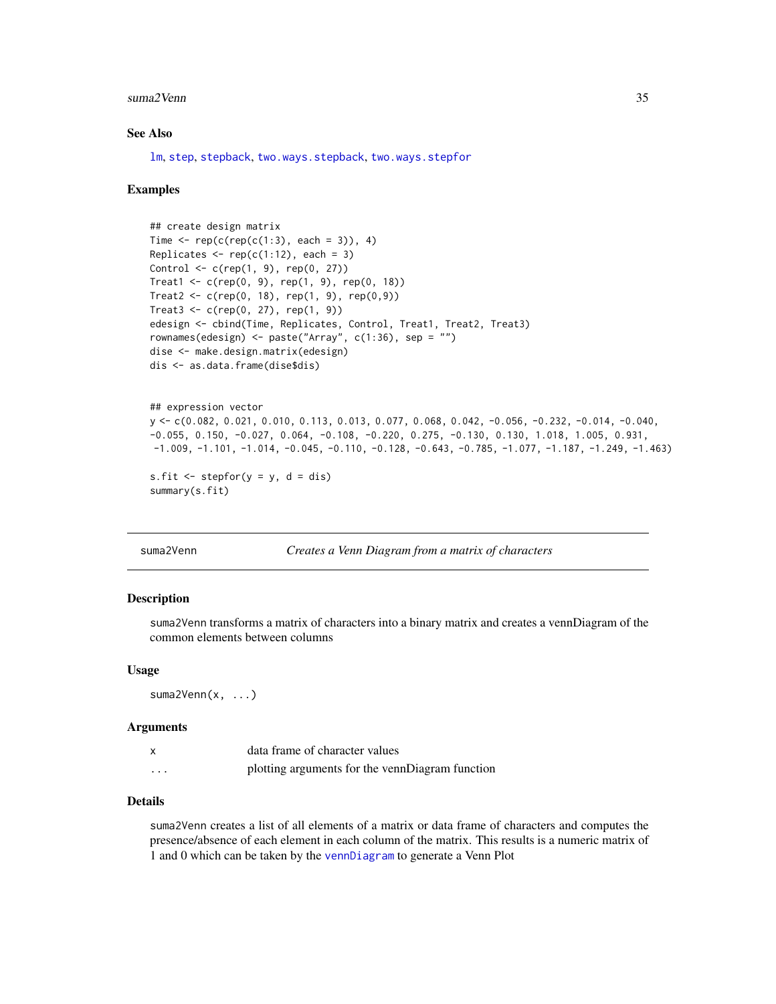#### <span id="page-34-0"></span>suma2Venn 35

# See Also

[lm](#page-0-0), [step](#page-0-0), [stepback](#page-31-1), [two.ways.stepback](#page-38-1), [two.ways.stepfor](#page-40-1)

#### Examples

```
## create design matrix
Time \leq rep(c(rep(c(1:3), each = 3)), 4)
Replicates \leq rep(c(1:12), each = 3)
Control <- c(rep(1, 9), rep(0, 27))
Treat1 < -c(rep(0, 9), rep(1, 9), rep(0, 18))Treat2 <- c(rep(0, 18), rep(1, 9), rep(0,9))
Treat3 < -c(rep(0, 27), rep(1, 9))edesign <- cbind(Time, Replicates, Control, Treat1, Treat2, Treat3)
rownames(edesign) <- paste("Array", c(1:36), sep = "")
dise <- make.design.matrix(edesign)
dis <- as.data.frame(dise$dis)
```

```
## expression vector
y <- c(0.082, 0.021, 0.010, 0.113, 0.013, 0.077, 0.068, 0.042, -0.056, -0.232, -0.014, -0.040,
-0.055, 0.150, -0.027, 0.064, -0.108, -0.220, 0.275, -0.130, 0.130, 1.018, 1.005, 0.931,
-1.009, -1.101, -1.014, -0.045, -0.110, -0.128, -0.643, -0.785, -1.077, -1.187, -1.249, -1.463)
```

```
s.fit \leq stepfor(y = y, d = dis)
summary(s.fit)
```
suma2Venn *Creates a Venn Diagram from a matrix of characters*

#### Description

suma2Venn transforms a matrix of characters into a binary matrix and creates a vennDiagram of the common elements between columns

#### Usage

suma2Venn(x, ...)

#### Arguments

|   | data frame of character values                  |
|---|-------------------------------------------------|
| . | plotting arguments for the vennDiagram function |

### Details

suma2Venn creates a list of all elements of a matrix or data frame of characters and computes the presence/absence of each element in each column of the matrix. This results is a numeric matrix of 1 and 0 which can be taken by the [vennDiagram](#page-0-0) to generate a Venn Plot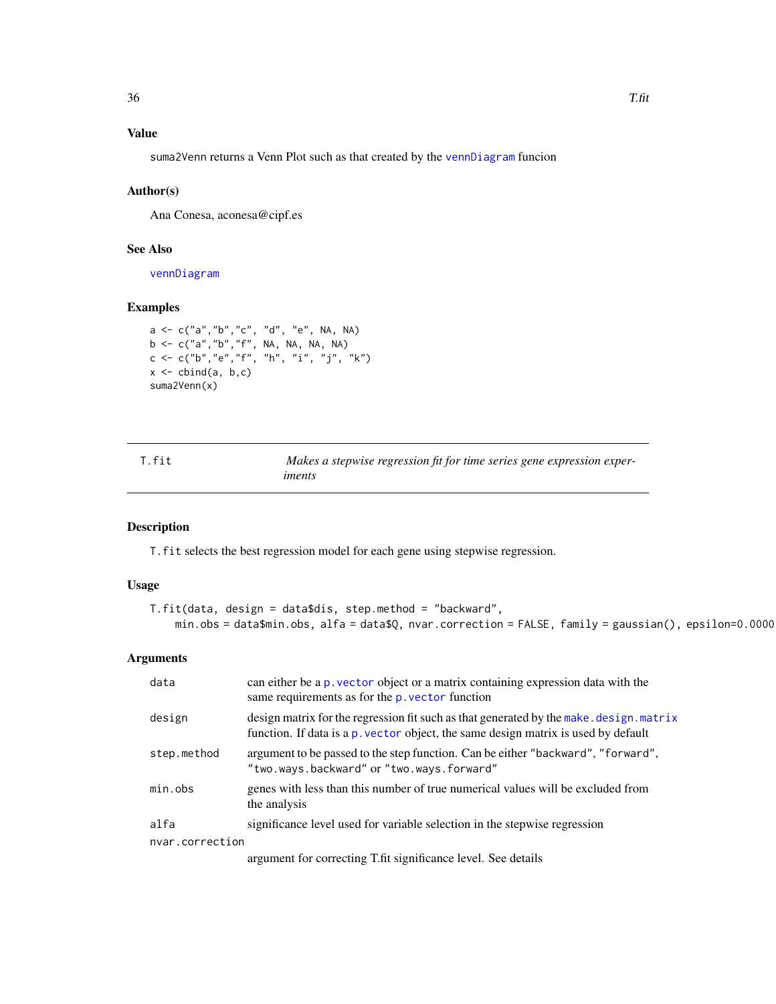# <span id="page-35-0"></span>Value

suma2Venn returns a Venn Plot such as that created by the [vennDiagram](#page-0-0) funcion

#### Author(s)

Ana Conesa, aconesa@cipf.es

# See Also

[vennDiagram](#page-0-0)

# Examples

```
a <- c("a","b","c", "d", "e", NA, NA)
b <- c("a","b","f", NA, NA, NA, NA)
c <- c("b","e","f", "h", "i", "j", "k")
x \leftarrow \text{cbind}(a, b, c)suma2Venn(x)
```
<span id="page-35-1"></span>

| T.fit | Makes a stepwise regression fit for time series gene expression exper- |
|-------|------------------------------------------------------------------------|
|       | iments                                                                 |

# Description

T.fit selects the best regression model for each gene using stepwise regression.

# Usage

```
T.fit(data, design = data$dis, step.method = "backward",
    min.obs = data$min.obs, alfa = data$Q, nvar.correction = FALSE, family = gaussian(), epsilon=0.00001)
```
### Arguments

| data            | can either be a p, vector object or a matrix containing expression data with the<br>same requirements as for the p. vector function                                           |
|-----------------|-------------------------------------------------------------------------------------------------------------------------------------------------------------------------------|
| design          | design matrix for the regression fit such as that generated by the make. design. matrix<br>function. If data is a p. vector object, the same design matrix is used by default |
| step.method     | argument to be passed to the step function. Can be either "backward", "forward",<br>"two.ways.backward" or "two.ways.forward"                                                 |
| min.obs         | genes with less than this number of true numerical values will be excluded from<br>the analysis                                                                               |
| alfa            | significance level used for variable selection in the stepwise regression                                                                                                     |
| nvar.correction |                                                                                                                                                                               |
|                 | argument for correcting T.fit significance level. See details                                                                                                                 |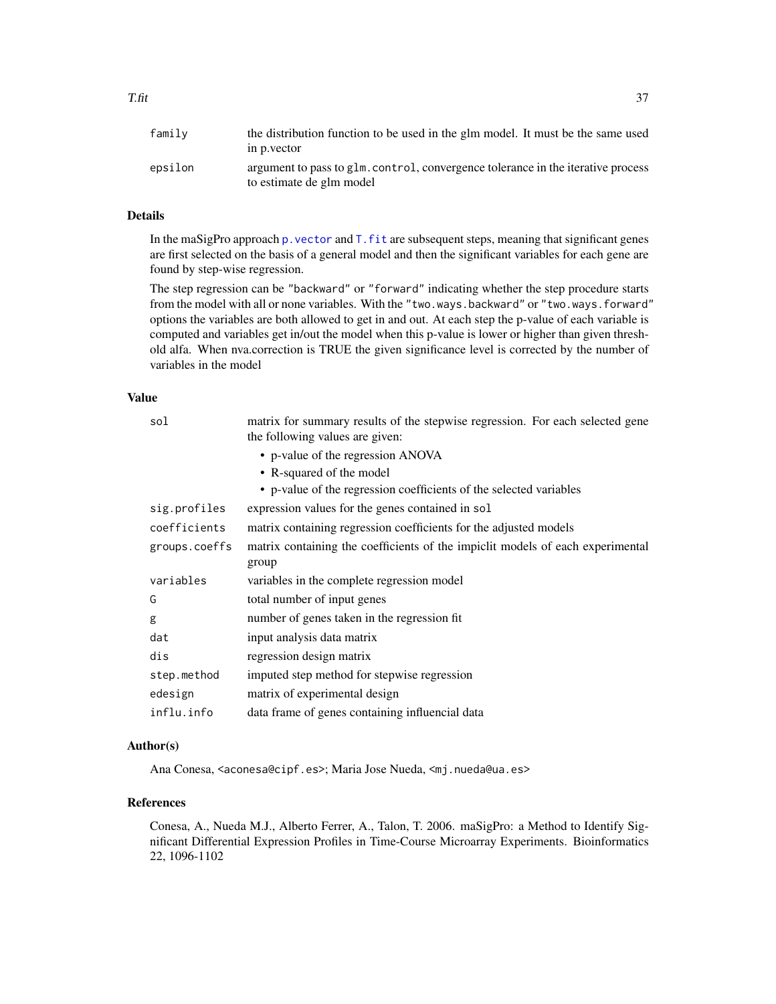| family  | the distribution function to be used in the glm model. It must be the same used<br>in p. vector              |
|---------|--------------------------------------------------------------------------------------------------------------|
| epsilon | argument to pass to glm. control, convergence tolerance in the iterative process<br>to estimate de glm model |

# Details

In the maSigPro approach p. vector and  $T$ .  $fit$  are subsequent steps, meaning that significant genes are first selected on the basis of a general model and then the significant variables for each gene are found by step-wise regression.

The step regression can be "backward" or "forward" indicating whether the step procedure starts from the model with all or none variables. With the "two.ways.backward" or "two.ways.forward" options the variables are both allowed to get in and out. At each step the p-value of each variable is computed and variables get in/out the model when this p-value is lower or higher than given threshold alfa. When nva.correction is TRUE the given significance level is corrected by the number of variables in the model

# Value

| sol           | matrix for summary results of the stepwise regression. For each selected gene<br>the following values are given: |
|---------------|------------------------------------------------------------------------------------------------------------------|
|               | • p-value of the regression ANOVA                                                                                |
|               | • R-squared of the model                                                                                         |
|               | • p-value of the regression coefficients of the selected variables                                               |
| sig.profiles  | expression values for the genes contained in sol                                                                 |
| coefficients  | matrix containing regression coefficients for the adjusted models                                                |
| groups.coeffs | matrix containing the coefficients of the impicit models of each experimental<br>group                           |
| variables     | variables in the complete regression model                                                                       |
| G             | total number of input genes                                                                                      |
| g             | number of genes taken in the regression fit.                                                                     |
| dat           | input analysis data matrix                                                                                       |
| dis           | regression design matrix                                                                                         |
| step.method   | imputed step method for stepwise regression                                                                      |
| edesign       | matrix of experimental design                                                                                    |
| influ.info    | data frame of genes containing influencial data                                                                  |
|               |                                                                                                                  |

# Author(s)

Ana Conesa, <aconesa@cipf.es>; Maria Jose Nueda, <mj.nueda@ua.es>

# References

Conesa, A., Nueda M.J., Alberto Ferrer, A., Talon, T. 2006. maSigPro: a Method to Identify Significant Differential Expression Profiles in Time-Course Microarray Experiments. Bioinformatics 22, 1096-1102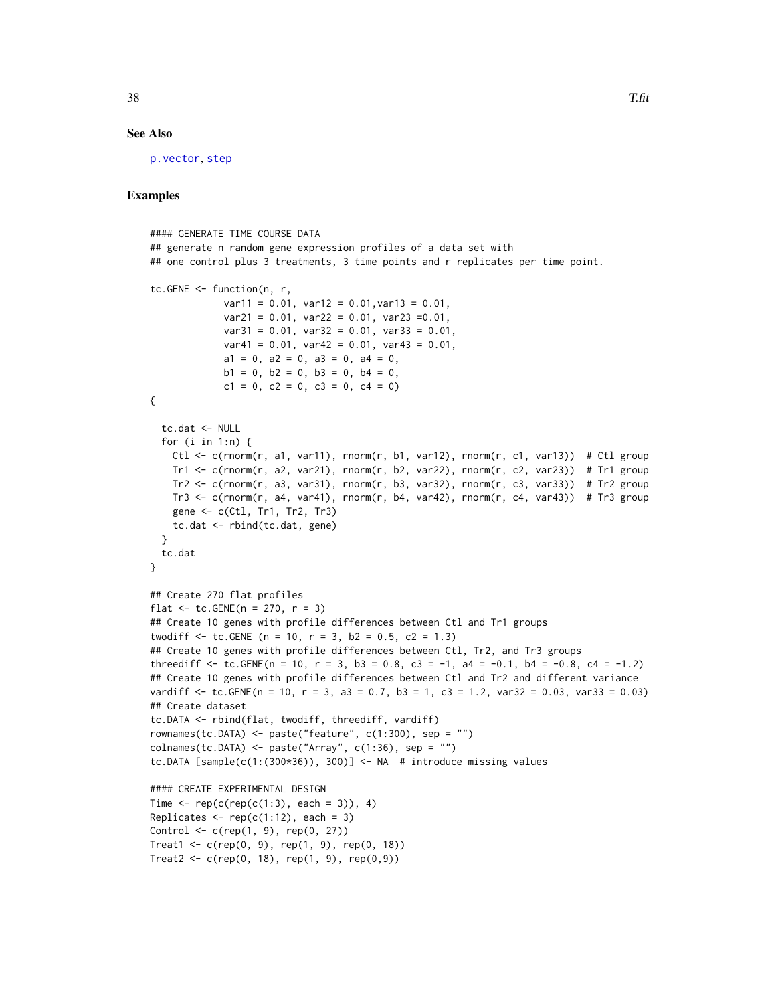### See Also

[p.vector](#page-19-1), [step](#page-0-0)

```
#### GENERATE TIME COURSE DATA
## generate n random gene expression profiles of a data set with
## one control plus 3 treatments, 3 time points and r replicates per time point.
tc.GENE <- function(n, r,
             var11 = 0.01, var12 = 0.01, var13 = 0.01,
             var21 = 0.01, var22 = 0.01, var23 = 0.01,
             var31 = 0.01, var32 = 0.01, var33 = 0.01,
             var41 = 0.01, var42 = 0.01, var43 = 0.01,
             a1 = 0, a2 = 0, a3 = 0, a4 = 0,
             b1 = 0, b2 = 0, b3 = 0, b4 = 0,
             c1 = 0, c2 = 0, c3 = 0, c4 = 0)
{
  tc.dat <- NULL
  for (i in 1:n) {
   Ctl <- c(rnorm(r, a1, var11), rnorm(r, b1, var12), rnorm(r, c1, var13)) # Ctl group
   Tr1 \le c(rnorm(r, a2, var21), rnorm(r, b2, var22), rnorm(r, c2, var23)) # Tr1 group
   Tr2 \leq c(rnorm(r, a3, var31), rnorm(r, b3, var32), rnorm(r, c3, var33)) # Tr2 group
   Tr3 \leq c(rnorm(r, a4, var41), rnorm(r, b4, var42), rnorm(r, c4, var43)) # Tr3 group
   gene <- c(Ctl, Tr1, Tr2, Tr3)
    tc.dat <- rbind(tc.dat, gene)
  }
 tc.dat
}
## Create 270 flat profiles
flat \le tc. GENE(n = 270, r = 3)
## Create 10 genes with profile differences between Ctl and Tr1 groups
twodiff \le tc.GENE (n = 10, r = 3, b2 = 0.5, c2 = 1.3)
## Create 10 genes with profile differences between Ctl, Tr2, and Tr3 groups
threediff \leq tc.GENE(n = 10, r = 3, b3 = 0.8, c3 = -1, a4 = -0.1, b4 = -0.8, c4 = -1.2)
## Create 10 genes with profile differences between Ctl and Tr2 and different variance
vardiff \le tc.GENE(n = 10, r = 3, a3 = 0.7, b3 = 1, c3 = 1.2, var32 = 0.03, var33 = 0.03)
## Create dataset
tc.DATA <- rbind(flat, twodiff, threediff, vardiff)
rownames(tc.DATA) <- paste("feature", c(1:300), sep = "")
collnames(tc.DATA) \leq plate('Array", c(1:36), sep = "")tc.DATA [sample(c(1:(300*36)), 300)] <- NA # introduce missing values
#### CREATE EXPERIMENTAL DESIGN
Time \leq rep(c(rep(c(1:3), each = 3)), 4)
Replicates \leq rep(c(1:12), each = 3)
Control \leq c (rep(1, 9), rep(0, 27))
Treat1 <- c(rep(0, 9), rep(1, 9), rep(0, 18))Treat2 <- c(rep(0, 18), rep(1, 9), rep(0,9))
```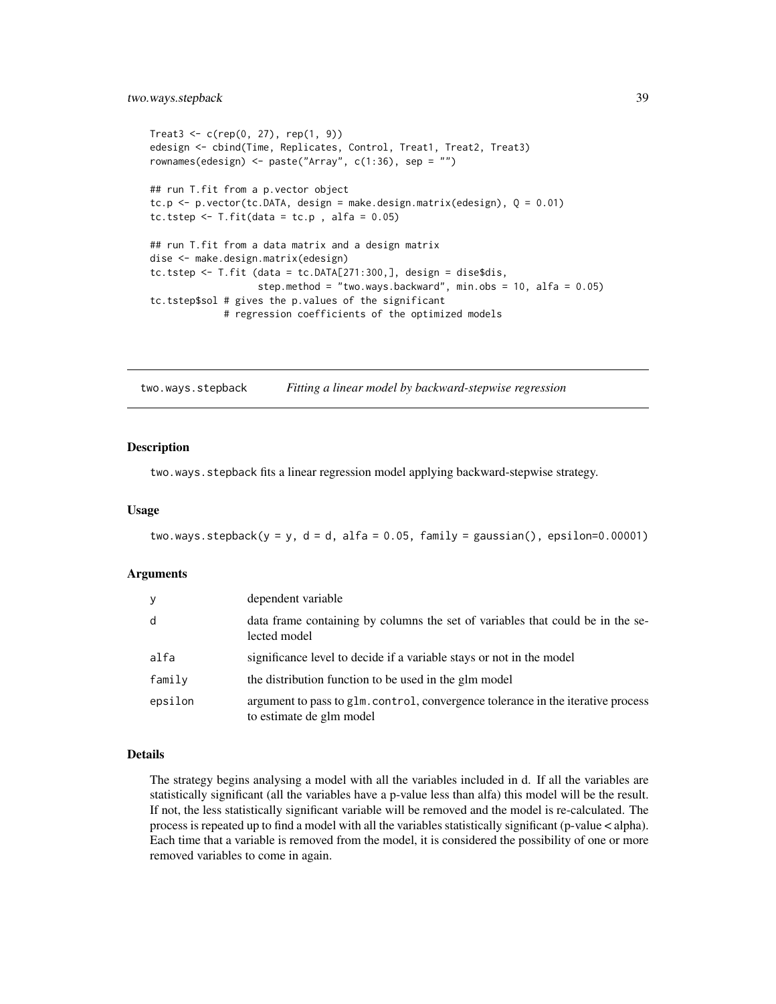```
Treat3 < -c(rep(0, 27), rep(1, 9))edesign <- cbind(Time, Replicates, Control, Treat1, Treat2, Treat3)
rownames(edesign) <- paste("Array", c(1:36), sep = "")
## run T.fit from a p.vector object
tc.p \le p.vector(tc.DATA, design = make.design.matrix(edesign), Q = 0.01)
tc.tstep \leq T.fit(data = tc.p, alfa = 0.05)
## run T.fit from a data matrix and a design matrix
dise <- make.design.matrix(edesign)
tc.tstep <- T.fit (data = tc.DATA[271:300,], design = dise$dis,
                   step.method = "two.ways.backward", min.obs = 10, alfa = 0.05)
tc.tstep$sol # gives the p.values of the significant
             # regression coefficients of the optimized models
```
<span id="page-38-1"></span>two.ways.stepback *Fitting a linear model by backward-stepwise regression*

#### Description

two.ways.stepback fits a linear regression model applying backward-stepwise strategy.

#### Usage

two.ways.stepback( $y = y$ ,  $d = d$ , alfa = 0.05, family = gaussian(), epsilon=0.00001)

#### Arguments

| У       | dependent variable                                                                                           |
|---------|--------------------------------------------------------------------------------------------------------------|
| d       | data frame containing by columns the set of variables that could be in the se-<br>lected model               |
| alfa    | significance level to decide if a variable stays or not in the model                                         |
| family  | the distribution function to be used in the glm model                                                        |
| epsilon | argument to pass to glm. control, convergence tolerance in the iterative process<br>to estimate de glm model |

### Details

The strategy begins analysing a model with all the variables included in d. If all the variables are statistically significant (all the variables have a p-value less than alfa) this model will be the result. If not, the less statistically significant variable will be removed and the model is re-calculated. The process is repeated up to find a model with all the variables statistically significant (p-value < alpha). Each time that a variable is removed from the model, it is considered the possibility of one or more removed variables to come in again.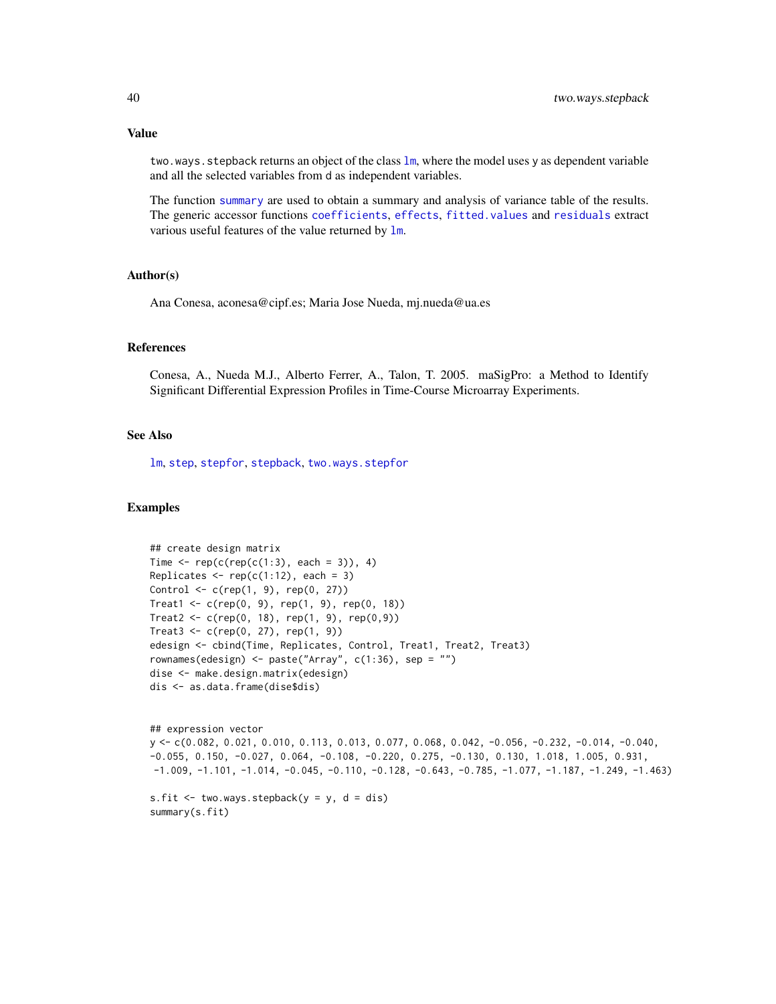#### Value

two.ways.stepback returns an object of the class  $\text{lm}$  $\text{lm}$  $\text{lm}$ , where the model uses y as dependent variable and all the selected variables from d as independent variables.

The function [summary](#page-0-0) are used to obtain a summary and analysis of variance table of the results. The generic accessor functions [coefficients](#page-0-0), [effects](#page-0-0), [fitted.values](#page-0-0) and [residuals](#page-0-0) extract various useful features of the value returned by  $\text{lm}$  $\text{lm}$  $\text{lm}$ .

#### Author(s)

Ana Conesa, aconesa@cipf.es; Maria Jose Nueda, mj.nueda@ua.es

#### References

Conesa, A., Nueda M.J., Alberto Ferrer, A., Talon, T. 2005. maSigPro: a Method to Identify Significant Differential Expression Profiles in Time-Course Microarray Experiments.

#### See Also

[lm](#page-0-0), [step](#page-0-0), [stepfor](#page-33-1), [stepback](#page-31-1), [two.ways.stepfor](#page-40-1)

```
## create design matrix
Time \leq rep(c(rep(c(1:3), each = 3)), 4)
Replicates \leq rep(c(1:12), each = 3)
Control <- c(rep(1, 9), rep(0, 27))
Treat1 <- c(rep(0, 9), rep(1, 9), rep(0, 18))
Treat2 <- c(rep(0, 18), rep(1, 9), rep(0,9))
Treat3 <- c(rep(0, 27), rep(1, 9))edesign <- cbind(Time, Replicates, Control, Treat1, Treat2, Treat3)
rownames(edesign) <- paste("Array", c(1:36), sep = "")
dise <- make.design.matrix(edesign)
dis <- as.data.frame(dise$dis)
```

```
## expression vector
y <- c(0.082, 0.021, 0.010, 0.113, 0.013, 0.077, 0.068, 0.042, -0.056, -0.232, -0.014, -0.040,
-0.055, 0.150, -0.027, 0.064, -0.108, -0.220, 0.275, -0.130, 0.130, 1.018, 1.005, 0.931,
-1.009, -1.101, -1.014, -0.045, -0.110, -0.128, -0.643, -0.785, -1.077, -1.187, -1.249, -1.463)
```

```
s.fit \leq two.ways.stepback(y = y, d = dis)
summary(s.fit)
```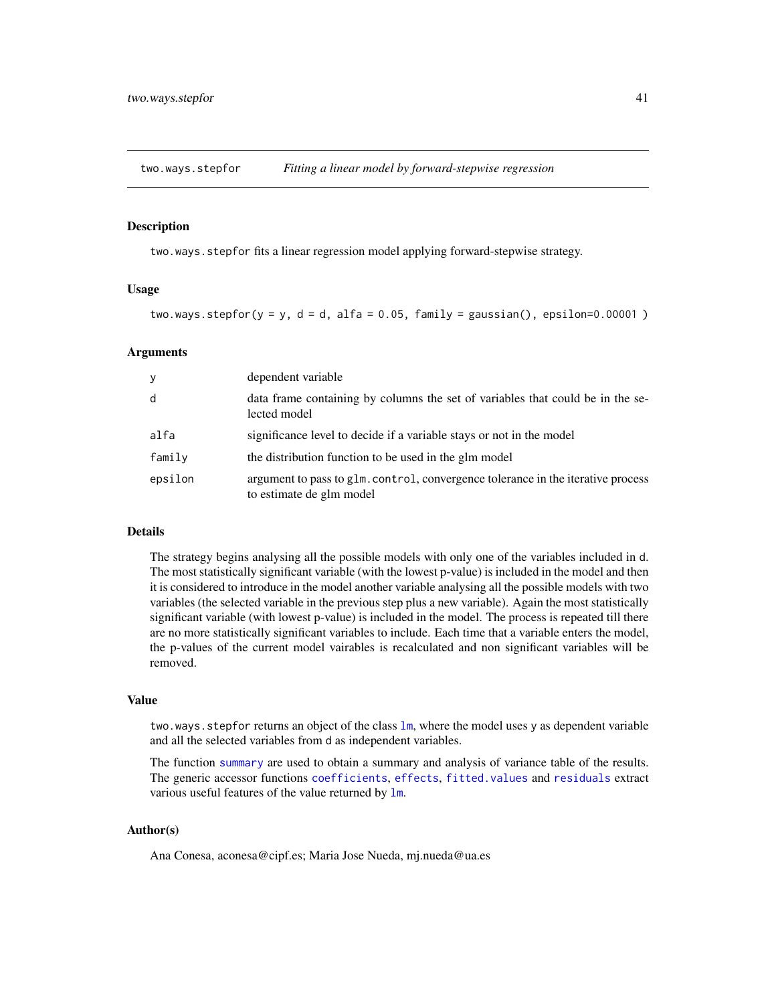<span id="page-40-1"></span><span id="page-40-0"></span>

#### Description

two.ways.stepfor fits a linear regression model applying forward-stepwise strategy.

#### Usage

two.ways.stepfor( $y = y$ ,  $d = d$ , alfa = 0.05, family = gaussian(), epsilon=0.00001)

#### Arguments

| У       | dependent variable                                                                                           |
|---------|--------------------------------------------------------------------------------------------------------------|
| d       | data frame containing by columns the set of variables that could be in the se-<br>lected model               |
| alfa    | significance level to decide if a variable stays or not in the model                                         |
| family  | the distribution function to be used in the glm model                                                        |
| epsilon | argument to pass to glm. control, convergence tolerance in the iterative process<br>to estimate de glm model |

#### Details

The strategy begins analysing all the possible models with only one of the variables included in d. The most statistically significant variable (with the lowest p-value) is included in the model and then it is considered to introduce in the model another variable analysing all the possible models with two variables (the selected variable in the previous step plus a new variable). Again the most statistically significant variable (with lowest p-value) is included in the model. The process is repeated till there are no more statistically significant variables to include. Each time that a variable enters the model, the p-values of the current model vairables is recalculated and non significant variables will be removed.

# Value

two.ways.stepfor returns an object of the class 1m, where the model uses y as dependent variable and all the selected variables from d as independent variables.

The function [summary](#page-0-0) are used to obtain a summary and analysis of variance table of the results. The generic accessor functions [coefficients](#page-0-0), [effects](#page-0-0), [fitted.values](#page-0-0) and [residuals](#page-0-0) extract various useful features of the value returned by  $lm$ .

# Author(s)

Ana Conesa, aconesa@cipf.es; Maria Jose Nueda, mj.nueda@ua.es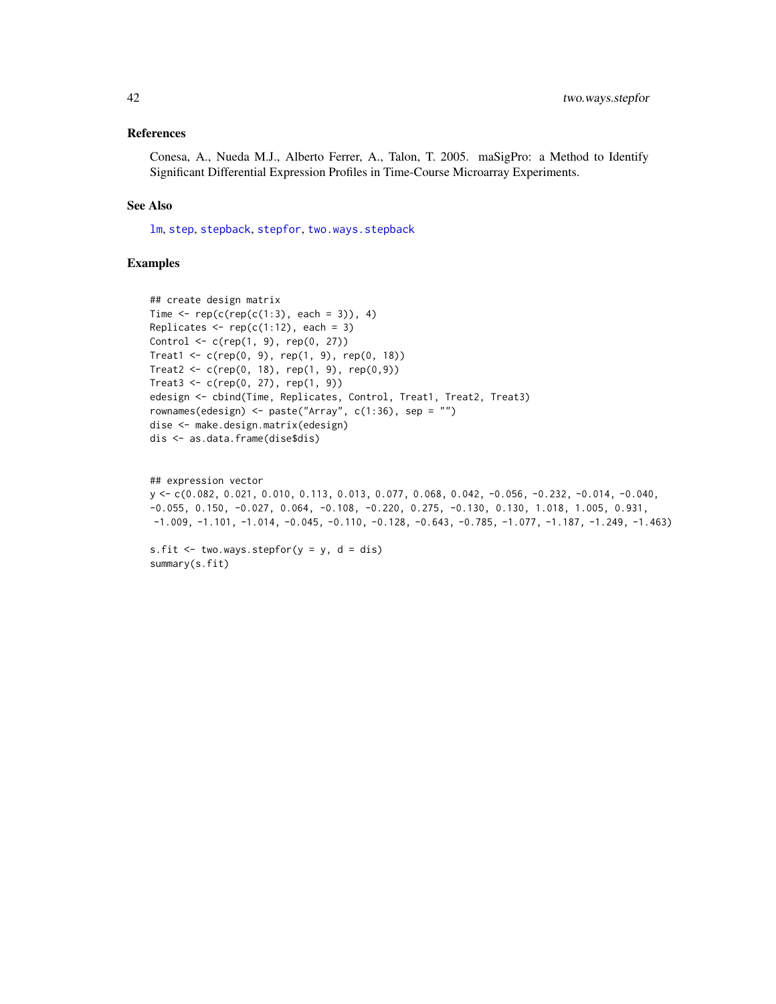#### References

Conesa, A., Nueda M.J., Alberto Ferrer, A., Talon, T. 2005. maSigPro: a Method to Identify Significant Differential Expression Profiles in Time-Course Microarray Experiments.

#### See Also

[lm](#page-0-0), [step](#page-0-0), [stepback](#page-31-1), [stepfor](#page-33-1), [two.ways.stepback](#page-38-1)

```
## create design matrix
Time \leq rep(c(rep(c(1:3), each = 3)), 4)
Replicates \leq rep(c(1:12), each = 3)
Control <- c(rep(1, 9), rep(0, 27))
Treat1 <- c(rep(0, 9), rep(1, 9), rep(0, 18))
Treat2 <- c(rep(0, 18), rep(1, 9), rep(0,9))
Treat3 < -c(rep(0, 27), rep(1, 9))edesign <- cbind(Time, Replicates, Control, Treat1, Treat2, Treat3)
rownames(edesign) <- paste("Array", c(1:36), sep = "")
dise <- make.design.matrix(edesign)
dis <- as.data.frame(dise$dis)
```

```
## expression vector
y <- c(0.082, 0.021, 0.010, 0.113, 0.013, 0.077, 0.068, 0.042, -0.056, -0.232, -0.014, -0.040,
-0.055, 0.150, -0.027, 0.064, -0.108, -0.220, 0.275, -0.130, 0.130, 1.018, 1.005, 0.931,
-1.009, -1.101, -1.014, -0.045, -0.110, -0.128, -0.643, -0.785, -1.077, -1.187, -1.249, -1.463)
```

```
s.fit \le two.ways.stepfor(y = y, d = dis)
summary(s.fit)
```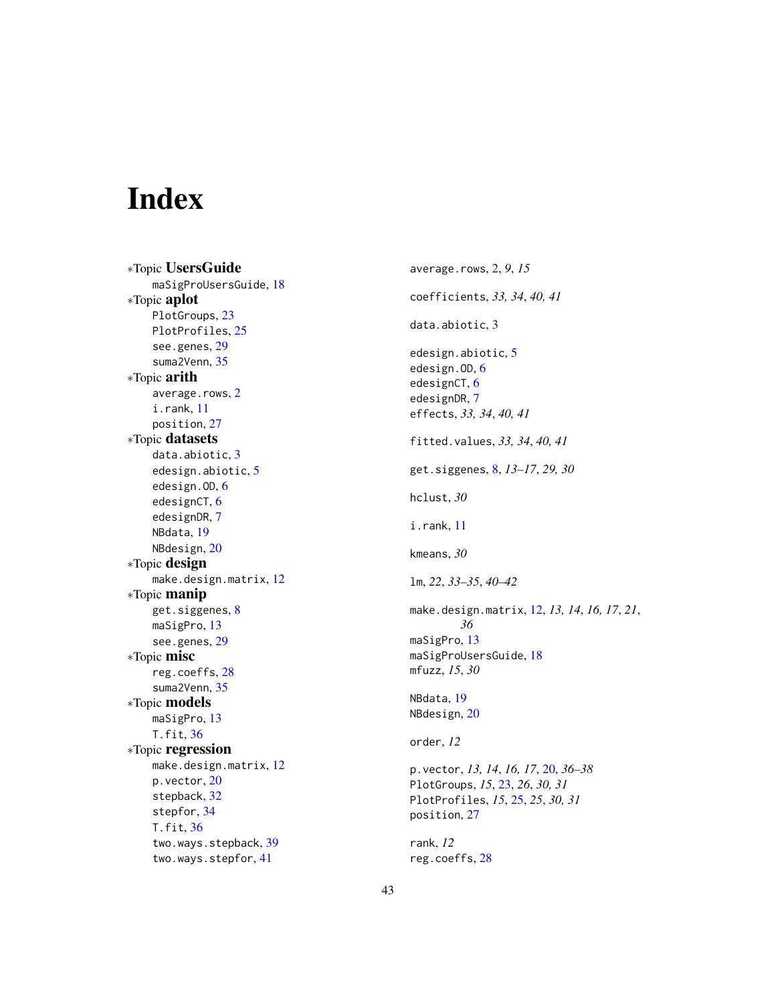# <span id="page-42-0"></span>Index

∗Topic UsersGuide maSigProUsersGuide, [18](#page-17-0) ∗Topic aplot PlotGroups, [23](#page-22-0) PlotProfiles, [25](#page-24-0) see.genes , [29](#page-28-0) suma2Venn , [35](#page-34-0) ∗Topic arith average.rows, [2](#page-1-0) i.rank , [11](#page-10-0) position , [27](#page-26-0) ∗Topic datasets data.abiotic, [3](#page-2-0) edesign.abiotic , [5](#page-4-0) edesign.OD, [6](#page-5-0) edesignCT, [6](#page-5-0) edesignDR , [7](#page-6-0) NBdata , [19](#page-18-0) NBdesign, [20](#page-19-0) ∗Topic design make.design.matrix, [12](#page-11-0) ∗Topic manip get.siggenes, <mark>[8](#page-7-0)</mark> maSigPro, [13](#page-12-0) see.genes , [29](#page-28-0) ∗Topic misc reg.coeffs , [28](#page-27-0) suma2Venn , [35](#page-34-0) ∗Topic models maSigPro, [13](#page-12-0) T.fit , [36](#page-35-0) ∗Topic regression <code>make.design.matrix</code>,  $12$ p.vector , [20](#page-19-0) stepback , [32](#page-31-0) stepfor , [34](#page-33-0) T.fit , [36](#page-35-0) two.ways.stepback , [39](#page-38-0) two.ways.stepfor , [41](#page-40-0)

average.rows , [2](#page-1-0) , *9* , *15* coefficients , *33, 34* , *40, 41* data.abiotic, <mark>[3](#page-2-0)</mark> edesign.abiotic , [5](#page-4-0) edesign.OD, <mark>[6](#page-5-0)</mark> edesignCT, [6](#page-5-0) edesignDR , [7](#page-6-0) effects , *33, 34* , *40, 41* fitted.values , *33, 34* , *40, 41* get.siggenes , [8](#page-7-0) , *13–17* , *29, 30* hclust , *30* i.rank , [11](#page-10-0) kmeans , *30* lm , *22* , *33–35* , *40–42* make.design.matrix , [12](#page-11-0) , *13, 14* , *16, 17* , *21* , *36* maSigPro , [13](#page-12-0) maSigProUsersGuide, [18](#page-17-0) mfuzz , *15* , *30* NBdata , [19](#page-18-0) NBdesign, [20](#page-19-0) order , *12* p.vector , *13, 14* , *16, 17* , [20](#page-19-0) , *36–38* PlotGroups , *15* , [23](#page-22-0) , *26* , *30, 31* PlotProfiles , *15* , [25](#page-24-0) , *25* , *30, 31* position , [27](#page-26-0) rank , *12* reg.coeffs , [28](#page-27-0)